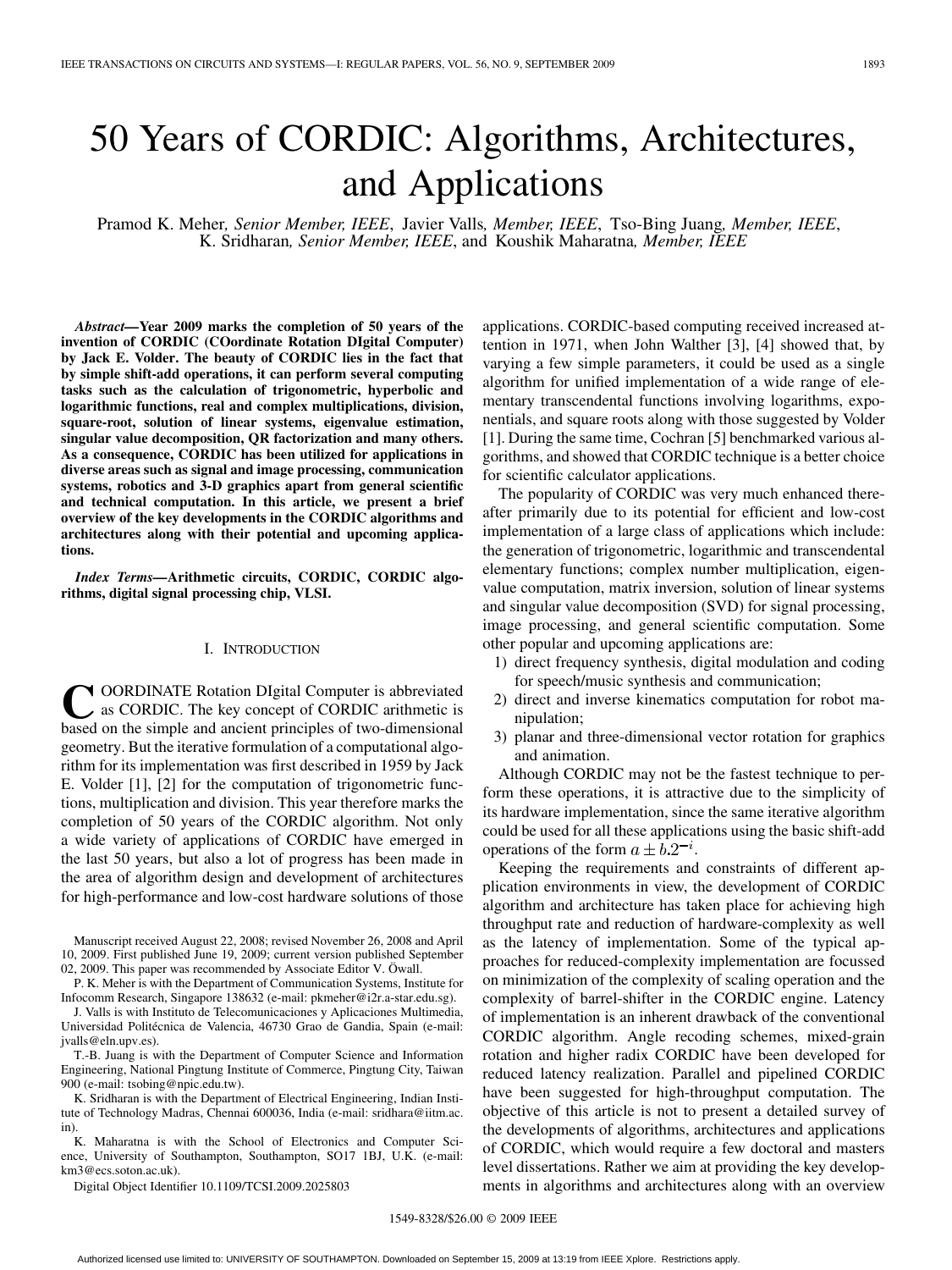# 50 Years of CORDIC: Algorithms, Architectures, and Applications

Pramod K. Meher*, Senior Member, IEEE*, Javier Valls*, Member, IEEE*, Tso-Bing Juang*, Member, IEEE*, K. Sridharan*, Senior Member, IEEE*, and Koushik Maharatna*, Member, IEEE*

*Abstract—***Year 2009 marks the completion of 50 years of the invention of CORDIC (COordinate Rotation DIgital Computer) by Jack E. Volder. The beauty of CORDIC lies in the fact that by simple shift-add operations, it can perform several computing tasks such as the calculation of trigonometric, hyperbolic and logarithmic functions, real and complex multiplications, division, square-root, solution of linear systems, eigenvalue estimation, singular value decomposition, QR factorization and many others. As a consequence, CORDIC has been utilized for applications in diverse areas such as signal and image processing, communication systems, robotics and 3-D graphics apart from general scientific and technical computation. In this article, we present a brief overview of the key developments in the CORDIC algorithms and architectures along with their potential and upcoming applications.**

*Index Terms—***Arithmetic circuits, CORDIC, CORDIC algorithms, digital signal processing chip, VLSI.**

#### I. INTRODUCTION

COORDINATE Rotation DIgital Computer is abbreviated<br>as CORDIC. The key concept of CORDIC arithmetic is<br>hased on the simple and ancient principles of two dimensional based on the simple and ancient principles of two-dimensional geometry. But the iterative formulation of a computational algorithm for its implementation was first described in 1959 by Jack E. Volder [1], [2] for the computation of trigonometric functions, multiplication and division. This year therefore marks the completion of 50 years of the CORDIC algorithm. Not only a wide variety of applications of CORDIC have emerged in the last 50 years, but also a lot of progress has been made in the area of algorithm design and development of architectures for high-performance and low-cost hardware solutions of those

Manuscript received August 22, 2008; revised November 26, 2008 and April 10, 2009. First published June 19, 2009; current version published September 02, 2009. This paper was recommended by Associate Editor V. Öwall.

P. K. Meher is with the Department of Communication Systems, Institute for Infocomm Research, Singapore 138632 (e-mail: pkmeher@i2r.a-star.edu.sg).

J. Valls is with Instituto de Telecomunicaciones y Aplicaciones Multimedia, Universidad Politécnica de Valencia, 46730 Grao de Gandia, Spain (e-mail: jvalls@eln.upv.es).

T.-B. Juang is with the Department of Computer Science and Information Engineering, National Pingtung Institute of Commerce, Pingtung City, Taiwan 900 (e-mail: tsobing@npic.edu.tw).

K. Sridharan is with the Department of Electrical Engineering, Indian Institute of Technology Madras, Chennai 600036, India (e-mail: sridhara@iitm.ac. in).

K. Maharatna is with the School of Electronics and Computer Science, University of Southampton, Southampton, SO17 1BJ, U.K. (e-mail: km3@ecs.soton.ac.uk).

Digital Object Identifier 10.1109/TCSI.2009.2025803

applications. CORDIC-based computing received increased attention in 1971, when John Walther [3], [4] showed that, by varying a few simple parameters, it could be used as a single algorithm for unified implementation of a wide range of elementary transcendental functions involving logarithms, exponentials, and square roots along with those suggested by Volder [1]. During the same time, Cochran [5] benchmarked various algorithms, and showed that CORDIC technique is a better choice for scientific calculator applications.

The popularity of CORDIC was very much enhanced thereafter primarily due to its potential for efficient and low-cost implementation of a large class of applications which include: the generation of trigonometric, logarithmic and transcendental elementary functions; complex number multiplication, eigenvalue computation, matrix inversion, solution of linear systems and singular value decomposition (SVD) for signal processing, image processing, and general scientific computation. Some other popular and upcoming applications are:

- 1) direct frequency synthesis, digital modulation and coding for speech/music synthesis and communication;
- 2) direct and inverse kinematics computation for robot manipulation;
- 3) planar and three-dimensional vector rotation for graphics and animation.

Although CORDIC may not be the fastest technique to perform these operations, it is attractive due to the simplicity of its hardware implementation, since the same iterative algorithm could be used for all these applications using the basic shift-add operations of the form  $a \pm b.2^{-i}$ .

Keeping the requirements and constraints of different application environments in view, the development of CORDIC algorithm and architecture has taken place for achieving high throughput rate and reduction of hardware-complexity as well as the latency of implementation. Some of the typical approaches for reduced-complexity implementation are focussed on minimization of the complexity of scaling operation and the complexity of barrel-shifter in the CORDIC engine. Latency of implementation is an inherent drawback of the conventional CORDIC algorithm. Angle recoding schemes, mixed-grain rotation and higher radix CORDIC have been developed for reduced latency realization. Parallel and pipelined CORDIC have been suggested for high-throughput computation. The objective of this article is not to present a detailed survey of the developments of algorithms, architectures and applications of CORDIC, which would require a few doctoral and masters level dissertations. Rather we aim at providing the key developments in algorithms and architectures along with an overview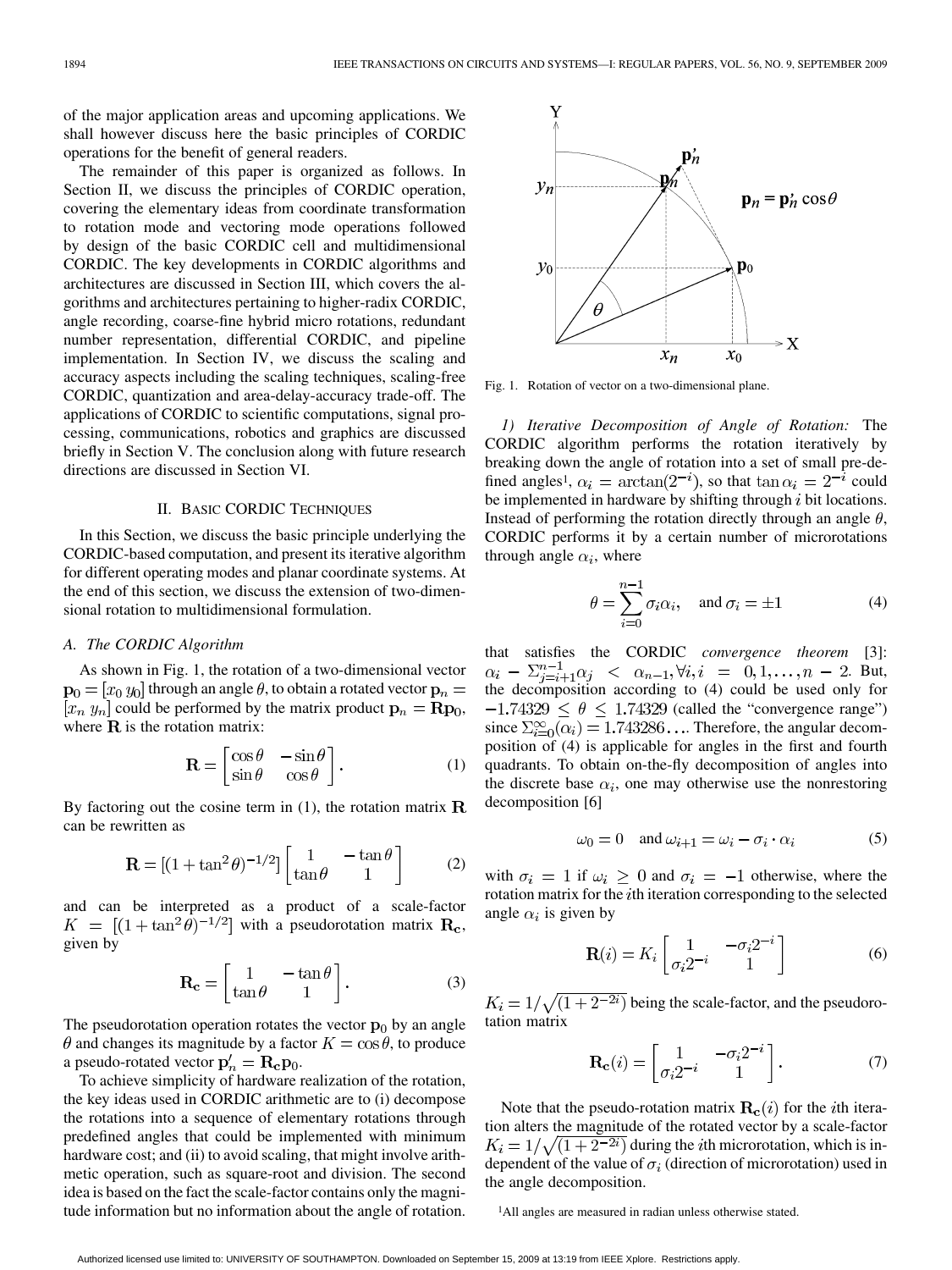of the major application areas and upcoming applications. We shall however discuss here the basic principles of CORDIC operations for the benefit of general readers.

The remainder of this paper is organized as follows. In Section II, we discuss the principles of CORDIC operation, covering the elementary ideas from coordinate transformation to rotation mode and vectoring mode operations followed by design of the basic CORDIC cell and multidimensional CORDIC. The key developments in CORDIC algorithms and architectures are discussed in Section III, which covers the algorithms and architectures pertaining to higher-radix CORDIC, angle recording, coarse-fine hybrid micro rotations, redundant number representation, differential CORDIC, and pipeline implementation. In Section IV, we discuss the scaling and accuracy aspects including the scaling techniques, scaling-free CORDIC, quantization and area-delay-accuracy trade-off. The applications of CORDIC to scientific computations, signal processing, communications, robotics and graphics are discussed briefly in Section V. The conclusion along with future research directions are discussed in Section VI.

## II. BASIC CORDIC TECHNIQUES

In this Section, we discuss the basic principle underlying the CORDIC-based computation, and present its iterative algorithm for different operating modes and planar coordinate systems. At the end of this section, we discuss the extension of two-dimensional rotation to multidimensional formulation.

## *A. The CORDIC Algorithm*

As shown in Fig. 1, the rotation of a two-dimensional vector  $\mathbf{p}_0 = [x_0, y_0]$  through an angle  $\theta$ , to obtain a rotated vector  $\mathbf{p}_n =$  $[x_n, y_n]$  could be performed by the matrix product  $\mathbf{p}_n = \mathbf{R} \mathbf{p}_0$ , where  $\bf{R}$  is the rotation matrix:

$$
\mathbf{R} = \begin{bmatrix} \cos \theta & -\sin \theta \\ \sin \theta & \cos \theta \end{bmatrix}.
$$
 (1)

By factoring out the cosine term in  $(1)$ , the rotation matrix  $\bf{R}$ can be rewritten as

$$
\mathbf{R} = \left[ (1 + \tan^2 \theta)^{-1/2} \right] \begin{bmatrix} 1 & -\tan \theta \\ \tan \theta & 1 \end{bmatrix}
$$
 (2)

and can be interpreted as a product of a scale-factor  $K = [(1 + \tan^2 \theta)^{-1/2}]$  with a pseudorotation matrix  $\mathbf{R}_c$ , given by

$$
\mathbf{R}_{\mathbf{c}} = \begin{bmatrix} 1 & -\tan\theta \\ \tan\theta & 1 \end{bmatrix}.
$$
 (3)

The pseudorotation operation rotates the vector  $p_0$  by an angle  $\theta$  and changes its magnitude by a factor  $K = \cos \theta$ , to produce a pseudo-rotated vector  $p'_n = R_c p_0$ .

To achieve simplicity of hardware realization of the rotation, the key ideas used in CORDIC arithmetic are to (i) decompose the rotations into a sequence of elementary rotations through predefined angles that could be implemented with minimum hardware cost; and (ii) to avoid scaling, that might involve arithmetic operation, such as square-root and division. The second idea is based on the fact the scale-factor contains only the magnitude information but no information about the angle of rotation.



Fig. 1. Rotation of vector on a two-dimensional plane.

*1) Iterative Decomposition of Angle of Rotation:* The CORDIC algorithm performs the rotation iteratively by breaking down the angle of rotation into a set of small pre-defined angles<sup>1</sup>,  $\alpha_i = \arctan(2^{-i})$ , so that  $\tan \alpha_i = 2^{-i}$  could be implemented in hardware by shifting through  $i$  bit locations. Instead of performing the rotation directly through an angle  $\theta$ , CORDIC performs it by a certain number of microrotations through angle  $\alpha_i$ , where

$$
\theta = \sum_{i=0}^{n-1} \sigma_i \alpha_i, \quad \text{and } \sigma_i = \pm 1 \tag{4}
$$

that satisfies the CORDIC *convergence theorem* [3]:  $\alpha_i - \sum_{j=i+1}^{n-1} \alpha_j < \alpha_{n-1}, \forall i, i = 0, 1, ..., n-2$ . But, the decomposition according to (4) could be used only for  $-1.74329 \le \theta \le 1.74329$  (called the "convergence range") since  $\sum_{i=0}^{\infty} (\alpha_i) = 1.743286...$  Therefore, the angular decomposition of (4) is applicable for angles in the first and fourth quadrants. To obtain on-the-fly decomposition of angles into the discrete base  $\alpha_i$ , one may otherwise use the nonrestoring decomposition [6]

$$
\omega_0 = 0 \quad \text{and } \omega_{i+1} = \omega_i - \sigma_i \cdot \alpha_i \tag{5}
$$

with  $\sigma_i = 1$  if  $\omega_i \geq 0$  and  $\sigma_i = -1$  otherwise, where the rotation matrix for the  $i$ th iteration corresponding to the selected angle  $\alpha_i$  is given by

$$
\mathbf{R}(i) = K_i \begin{bmatrix} 1 & -\sigma_i 2^{-i} \\ \sigma_i 2^{-i} & 1 \end{bmatrix}
$$
 (6)

 $K_i = 1/\sqrt{(1+2^{-2i})}$  being the scale-factor, and the pseudorotation matrix

$$
\mathbf{R}_{\mathbf{c}}(i) = \begin{bmatrix} 1 & -\sigma_i 2^{-i} \\ \sigma_i 2^{-i} & 1 \end{bmatrix}.
$$
 (7)

Note that the pseudo-rotation matrix  $\mathbf{R}_{c}(i)$  for the *i*th iteration alters the magnitude of the rotated vector by a scale-factor  $K_i = 1/\sqrt{(1+2^{-2i})}$  during the *i*th microrotation, which is independent of the value of  $\sigma_i$  (direction of microrotation) used in the angle decomposition.

1All angles are measured in radian unless otherwise stated.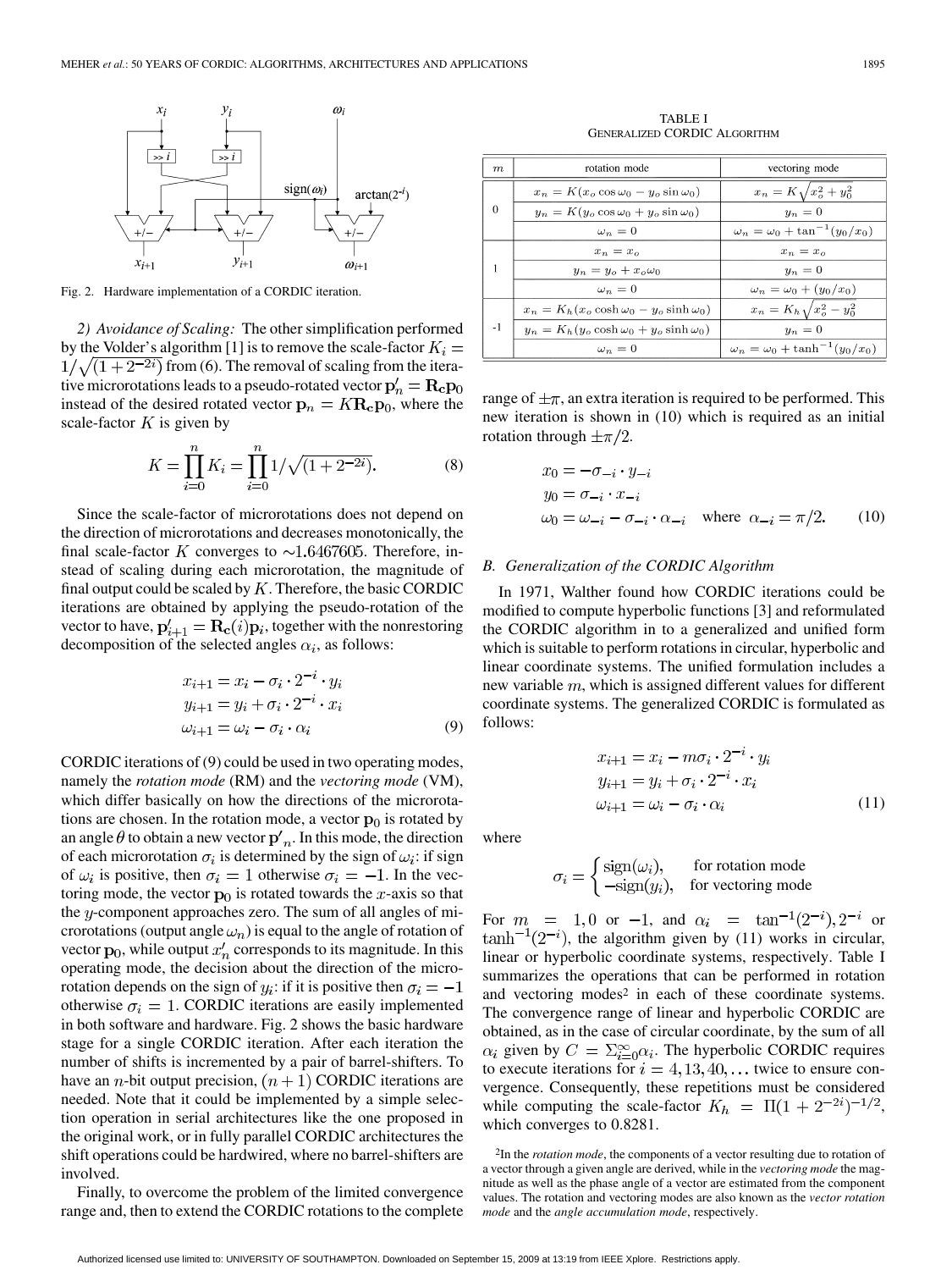

Fig. 2. Hardware implementation of a CORDIC iteration.

*2) Avoidance of Scaling:* The other simplification performed by the Volder's algorithm [1] is to remove the scale-factor  $K_i =$  $1/\sqrt{(1+2^{-2i})}$  from (6). The removal of scaling from the iterative microrotations leads to a pseudo-rotated vector  $\mathbf{p}'_n = \mathbf{R_c p_0}$ instead of the desired rotated vector  $\mathbf{p}_n = K \mathbf{R}_{\mathbf{c}} \mathbf{p}_0$ , where the scale-factor  $K$  is given by

$$
K = \prod_{i=0}^{n} K_i = \prod_{i=0}^{n} 1/\sqrt{(1+2^{-2i})}.
$$
 (8)

Since the scale-factor of microrotations does not depend on the direction of microrotations and decreases monotonically, the final scale-factor K converges to  $\sim$ 1.6467605. Therefore, instead of scaling during each microrotation, the magnitude of final output could be scaled by  $K$ . Therefore, the basic CORDIC iterations are obtained by applying the pseudo-rotation of the vector to have,  $\mathbf{p}'_{i+1} = \mathbf{R}_{c}(i)\mathbf{p}_{i}$ , together with the nonrestoring decomposition of the selected angles  $\alpha_i$ , as follows:

$$
x_{i+1} = x_i - \sigma_i \cdot 2^{-i} \cdot y_i
$$
  
\n
$$
y_{i+1} = y_i + \sigma_i \cdot 2^{-i} \cdot x_i
$$
  
\n
$$
\omega_{i+1} = \omega_i - \sigma_i \cdot \alpha_i
$$
 (9)

CORDIC iterations of (9) could be used in two operating modes, namely the *rotation mode* (RM) and the *vectoring mode* (VM), which differ basically on how the directions of the microrotations are chosen. In the rotation mode, a vector  $\mathbf{p}_0$  is rotated by an angle  $\theta$  to obtain a new vector  $p'_n$ . In this mode, the direction of each microrotation  $\sigma_i$  is determined by the sign of  $\omega_i$ : if sign of  $\omega_i$  is positive, then  $\sigma_i = 1$  otherwise  $\sigma_i = -1$ . In the vectoring mode, the vector  $\mathbf{p}_0$  is rotated towards the x-axis so that the  $y$ -component approaches zero. The sum of all angles of microrotations (output angle  $\omega_n$ ) is equal to the angle of rotation of vector  $\mathbf{p}_0$ , while output  $x_n'$  corresponds to its magnitude. In this operating mode, the decision about the direction of the microrotation depends on the sign of  $y_i$ : if it is positive then  $\sigma_i = -1$ otherwise  $\sigma_i = 1$ . CORDIC iterations are easily implemented in both software and hardware. Fig. 2 shows the basic hardware stage for a single CORDIC iteration. After each iteration the number of shifts is incremented by a pair of barrel-shifters. To have an *n*-bit output precision,  $(n + 1)$  CORDIC iterations are needed. Note that it could be implemented by a simple selection operation in serial architectures like the one proposed in the original work, or in fully parallel CORDIC architectures the shift operations could be hardwired, where no barrel-shifters are involved.

Finally, to overcome the problem of the limited convergence range and, then to extend the CORDIC rotations to the complete

TABLE I GENERALIZED CORDIC ALGORITHM

| m        | rotation mode                                        | vectoring mode                              |  |
|----------|------------------------------------------------------|---------------------------------------------|--|
| $\Omega$ | $x_n = K(x_0 \cos \omega_0 - y_0 \sin \omega_0)$     | $x_n = K \sqrt{x_o^2 + y_0^2}$              |  |
|          | $y_n = K(y_0 \cos \omega_0 + y_0 \sin \omega_0)$     | $y_n=0$                                     |  |
|          | $\omega_n=0$                                         | $\omega_n = \omega_0 + \tan^{-1}(y_0/x_0)$  |  |
| 1        | $x_n = x_o$                                          | $x_n = x_o$                                 |  |
|          | $y_n = y_o + x_o \omega_0$                           | $y_n=0$                                     |  |
|          | $\omega_n=0$                                         | $\omega_n = \omega_0 + (y_0/x_0)$           |  |
| $-1$     | $x_n = K_h(x_o \cosh \omega_0 - y_o \sinh \omega_0)$ | $x_n = K_h \sqrt{x_o^2 - y_0^2}$            |  |
|          | $y_n = K_h(y_o \cosh \omega_0 + y_o \sinh \omega_0)$ | $u_n=0$                                     |  |
|          | $\omega_n=0$                                         | $\omega_n = \omega_0 + \tanh^{-1}(y_0/x_0)$ |  |

range of  $\pm \pi$ , an extra iteration is required to be performed. This new iteration is shown in (10) which is required as an initial rotation through  $\pm \pi/2$ .

$$
x_0 = -\sigma_{-i} \cdot y_{-i}
$$
  
\n
$$
y_0 = \sigma_{-i} \cdot x_{-i}
$$
  
\n
$$
\omega_0 = \omega_{-i} - \sigma_{-i} \cdot \alpha_{-i} \quad \text{where } \alpha_{-i} = \pi/2.
$$
 (10)

#### *B. Generalization of the CORDIC Algorithm*

In 1971, Walther found how CORDIC iterations could be modified to compute hyperbolic functions [3] and reformulated the CORDIC algorithm in to a generalized and unified form which is suitable to perform rotations in circular, hyperbolic and linear coordinate systems. The unified formulation includes a new variable  $m$ , which is assigned different values for different coordinate systems. The generalized CORDIC is formulated as follows:

$$
x_{i+1} = x_i - m\sigma_i \cdot 2^{-i} \cdot y_i
$$
  
\n
$$
y_{i+1} = y_i + \sigma_i \cdot 2^{-i} \cdot x_i
$$
  
\n
$$
\omega_{i+1} = \omega_i - \sigma_i \cdot \alpha_i
$$
 (11)

where

$$
\sigma_i = \begin{cases} \text{sign}(\omega_i), & \text{for rotation mode} \\ -\text{sign}(y_i), & \text{for vectoring mode} \end{cases}
$$

For  $m = 1, 0$  or  $-1$ , and  $\alpha_i = \tan^{-1}(2^{-i}), 2^{-i}$  or  $\tanh^{-1}(2^{-i})$ , the algorithm given by (11) works in circular, linear or hyperbolic coordinate systems, respectively. Table I summarizes the operations that can be performed in rotation and vectoring modes<sup>2</sup> in each of these coordinate systems. The convergence range of linear and hyperbolic CORDIC are obtained, as in the case of circular coordinate, by the sum of all  $\alpha_i$  given by  $C = \sum_{i=0}^{\infty} \alpha_i$ . The hyperbolic CORDIC requires to execute iterations for  $i = 4, 13, 40, \dots$  twice to ensure convergence. Consequently, these repetitions must be considered while computing the scale-factor  $K_h = \Pi(1 + 2^{-2i})^{-1/2}$ , which converges to 0.8281.

<sup>2</sup>In the *rotation mode*, the components of a vector resulting due to rotation of a vector through a given angle are derived, while in the *vectoring mode* the magnitude as well as the phase angle of a vector are estimated from the component values. The rotation and vectoring modes are also known as the *vector rotation mode* and the *angle accumulation mode*, respectively.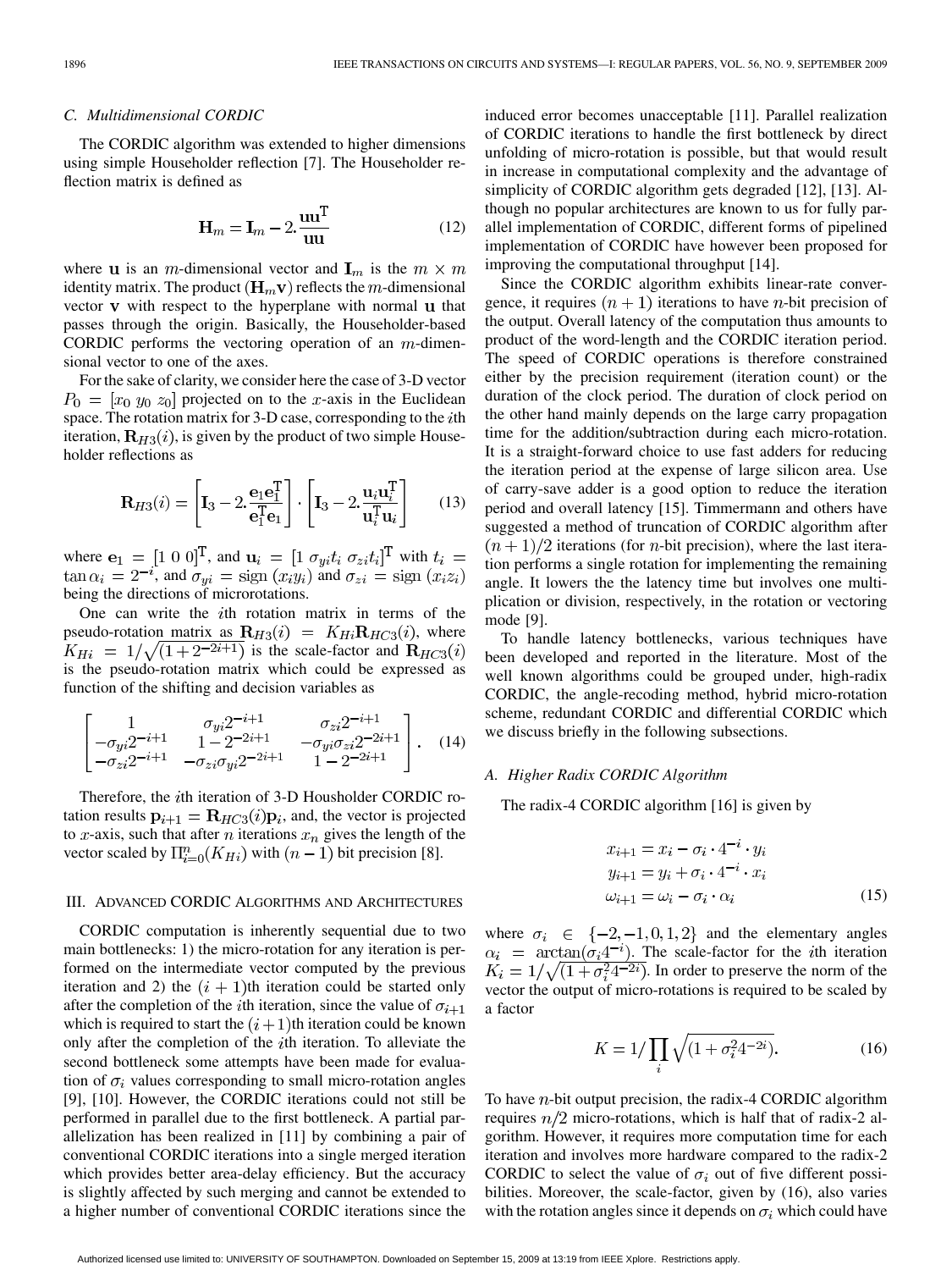## *C. Multidimensional CORDIC*

The CORDIC algorithm was extended to higher dimensions using simple Householder reflection [7]. The Householder reflection matrix is defined as

$$
\mathbf{H}_m = \mathbf{I}_m - 2 \cdot \frac{\mathbf{u} \mathbf{u}^{\mathrm{T}}}{\mathbf{u} \mathbf{u}} \tag{12}
$$

where **u** is an m-dimensional vector and  $\mathbf{I}_m$  is the  $m \times m$ identity matrix. The product  $(\mathbf{H}_m \mathbf{v})$  reflects the m-dimensional vector  $\bf v$  with respect to the hyperplane with normal  $\bf u$  that passes through the origin. Basically, the Householder-based CORDIC performs the vectoring operation of an  $m$ -dimensional vector to one of the axes.

For the sake of clarity, we consider here the case of 3-D vector  $P_0 = [x_0, y_0, z_0]$  projected on to the x-axis in the Euclidean space. The rotation matrix for 3-D case, corresponding to the  $i$ th iteration,  $\mathbf{R}_{H3}(i)$ , is given by the product of two simple Householder reflections as

$$
\mathbf{R}_{H3}(i) = \left[ \mathbf{I}_3 - 2 \cdot \frac{\mathbf{e}_1 \mathbf{e}_1^{\mathrm{T}}}{\mathbf{e}_1^{\mathrm{T}} \mathbf{e}_1} \right] \cdot \left[ \mathbf{I}_3 - 2 \cdot \frac{\mathbf{u}_i \mathbf{u}_i^{\mathrm{T}}}{\mathbf{u}_i^{\mathrm{T}} \mathbf{u}_i} \right] \tag{13}
$$

where  $\mathbf{e}_1 = [1 \ 0 \ 0]^T$ , and  $\mathbf{u}_i = [1 \ \sigma_{vi} t_i \ \sigma_{zi} t_i]^T$  with , and  $\sigma_{yi} = \text{sign}(x_i y_i)$  and being the directions of microrotations.

One can write the  $i$ th rotation matrix in terms of the pseudo-rotation matrix as  $\mathbf{R}_{H3}(i) = K_{Hi} \mathbf{R}_{HC3}(i)$ , where is the scale-factor and is the pseudo-rotation matrix which could be expressed as function of the shifting and decision variables as

$$
\begin{bmatrix} 1 & \sigma_{yi} 2^{-i+1} & \sigma_{zi} 2^{-i+1} \\ -\sigma_{yi} 2^{-i+1} & 1 - 2^{-2i+1} & -\sigma_{yi} \sigma_{zi} 2^{-2i+1} \\ -\sigma_{zi} 2^{-i+1} & -\sigma_{zi} \sigma_{yi} 2^{-2i+1} & 1 - 2^{-2i+1} \end{bmatrix}.
$$
 (14)

Therefore, the *i*th iteration of 3-D Housholder CORDIC rotation results  ${\bf p}_{i+1} = {\bf R}_{HC3}(i){\bf p}_i$ , and, the vector is projected to x-axis, such that after n iterations  $x_n$  gives the length of the vector scaled by  $\prod_{i=0}^{n} (K_{Hi})$  with  $(n-1)$  bit precision [8].

## III. ADVANCED CORDIC ALGORITHMS AND ARCHITECTURES

CORDIC computation is inherently sequential due to two main bottlenecks: 1) the micro-rotation for any iteration is performed on the intermediate vector computed by the previous iteration and 2) the  $(i + 1)$ th iteration could be started only after the completion of the *i*th iteration, since the value of  $\sigma_{i+1}$ which is required to start the  $(i + 1)$ th iteration could be known only after the completion of the  $i$ th iteration. To alleviate the second bottleneck some attempts have been made for evaluation of  $\sigma_i$  values corresponding to small micro-rotation angles [9], [10]. However, the CORDIC iterations could not still be performed in parallel due to the first bottleneck. A partial parallelization has been realized in [11] by combining a pair of conventional CORDIC iterations into a single merged iteration which provides better area-delay efficiency. But the accuracy is slightly affected by such merging and cannot be extended to a higher number of conventional CORDIC iterations since the induced error becomes unacceptable [11]. Parallel realization of CORDIC iterations to handle the first bottleneck by direct unfolding of micro-rotation is possible, but that would result in increase in computational complexity and the advantage of simplicity of CORDIC algorithm gets degraded [12], [13]. Although no popular architectures are known to us for fully parallel implementation of CORDIC, different forms of pipelined implementation of CORDIC have however been proposed for improving the computational throughput [14].

Since the CORDIC algorithm exhibits linear-rate convergence, it requires  $(n + 1)$  iterations to have *n*-bit precision of the output. Overall latency of the computation thus amounts to product of the word-length and the CORDIC iteration period. The speed of CORDIC operations is therefore constrained either by the precision requirement (iteration count) or the duration of the clock period. The duration of clock period on the other hand mainly depends on the large carry propagation time for the addition/subtraction during each micro-rotation. It is a straight-forward choice to use fast adders for reducing the iteration period at the expense of large silicon area. Use of carry-save adder is a good option to reduce the iteration period and overall latency [15]. Timmermann and others have suggested a method of truncation of CORDIC algorithm after  $(n+1)/2$  iterations (for *n*-bit precision), where the last iteration performs a single rotation for implementing the remaining angle. It lowers the the latency time but involves one multiplication or division, respectively, in the rotation or vectoring mode [9].

To handle latency bottlenecks, various techniques have been developed and reported in the literature. Most of the well known algorithms could be grouped under, high-radix CORDIC, the angle-recoding method, hybrid micro-rotation scheme, redundant CORDIC and differential CORDIC which we discuss briefly in the following subsections.

## *A. Higher Radix CORDIC Algorithm*

The radix-4 CORDIC algorithm [16] is given by

$$
x_{i+1} = x_i - \sigma_i \cdot 4^{-i} \cdot y_i
$$
  
\n
$$
y_{i+1} = y_i + \sigma_i \cdot 4^{-i} \cdot x_i
$$
  
\n
$$
\omega_{i+1} = \omega_i - \sigma_i \cdot \alpha_i
$$
 (15)

where  $\sigma_i \in \{-2, -1, 0, 1, 2\}$  and the elementary angles  $\alpha_i$  = arctan( $\sigma_i$ 4<sup>-*i*</sup>). The scale-factor for the *i*th iteration  $K_i = 1/\sqrt{(1+\sigma_i^2 4^{-2i})}$ . In order to preserve the norm of the vector the output of micro-rotations is required to be scaled by a factor

$$
K = 1/\prod_{i} \sqrt{(1 + \sigma_i^2 4^{-2i})}.
$$
 (16)

To have  $n$ -bit output precision, the radix-4 CORDIC algorithm requires  $n/2$  micro-rotations, which is half that of radix-2 algorithm. However, it requires more computation time for each iteration and involves more hardware compared to the radix-2 CORDIC to select the value of  $\sigma_i$  out of five different possibilities. Moreover, the scale-factor, given by (16), also varies with the rotation angles since it depends on  $\sigma_i$  which could have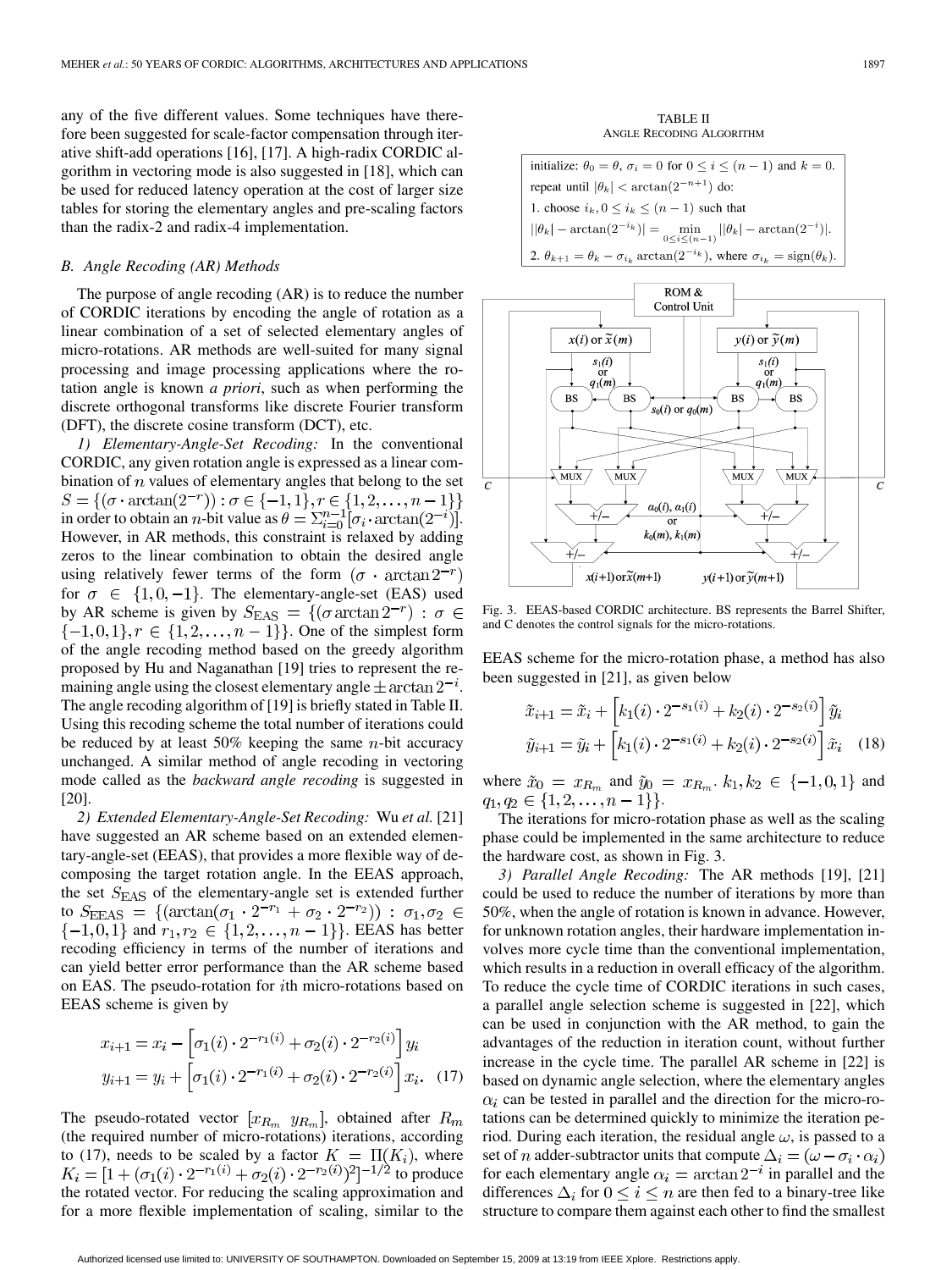any of the five different values. Some techniques have therefore been suggested for scale-factor compensation through iterative shift-add operations [16], [17]. A high-radix CORDIC algorithm in vectoring mode is also suggested in [18], which can be used for reduced latency operation at the cost of larger size tables for storing the elementary angles and pre-scaling factors than the radix-2 and radix-4 implementation.

#### *B. Angle Recoding (AR) Methods*

The purpose of angle recoding (AR) is to reduce the number of CORDIC iterations by encoding the angle of rotation as a linear combination of a set of selected elementary angles of micro-rotations. AR methods are well-suited for many signal processing and image processing applications where the rotation angle is known *a priori*, such as when performing the discrete orthogonal transforms like discrete Fourier transform (DFT), the discrete cosine transform (DCT), etc.

*1) Elementary-Angle-Set Recoding:* In the conventional CORDIC, any given rotation angle is expressed as a linear combination of  $n$  values of elementary angles that belong to the set  $S = \{(\sigma \cdot \arctan(2^{-r})) : \sigma \in \{-1, 1\}, r \in \{1, 2, \ldots, n-1\}\}$ <br>in order to obtain an *n*-bit value as  $\theta = \sum_{i=0}^{n-1} [\sigma_i \cdot \arctan(2^{-i})]$ . However, in AR methods, this constraint is relaxed by adding zeros to the linear combination to obtain the desired angle using relatively fewer terms of the form  $(\sigma \cdot \arctan 2^{-r})$ for  $\sigma \in \{1, 0, -1\}$ . The elementary-angle-set (EAS) used by AR scheme is given by  $S_{\text{EAS}} = \{(\sigma \arctan 2^{-r}) : \sigma \in$  $\{-1,0,1\}, r \in \{1,2,\ldots,n-1\}$ . One of the simplest form of the angle recoding method based on the greedy algorithm proposed by Hu and Naganathan [19] tries to represent the remaining angle using the closest elementary angle  $\pm$  arctan  $2^{-i}$ . The angle recoding algorithm of [19] is briefly stated in Table II. Using this recoding scheme the total number of iterations could be reduced by at least 50% keeping the same  $n$ -bit accuracy unchanged. A similar method of angle recoding in vectoring mode called as the *backward angle recoding* is suggested in [20].

*2) Extended Elementary-Angle-Set Recoding:* Wu *et al.* [21] have suggested an AR scheme based on an extended elementary-angle-set (EEAS), that provides a more flexible way of decomposing the target rotation angle. In the EEAS approach, the set  $S_{\rm EAS}$  of the elementary-angle set is extended further to and  $r_1, r_2 \in \{1, 2, \ldots, n-1\}$ . EEAS has better recoding efficiency in terms of the number of iterations and can yield better error performance than the AR scheme based on EAS. The pseudo-rotation for  $i$ th micro-rotations based on EEAS scheme is given by

$$
x_{i+1} = x_i - \left[\sigma_1(i) \cdot 2^{-r_1(i)} + \sigma_2(i) \cdot 2^{-r_2(i)}\right] y_i
$$
  

$$
y_{i+1} = y_i + \left[\sigma_1(i) \cdot 2^{-r_1(i)} + \sigma_2(i) \cdot 2^{-r_2(i)}\right] x_i.
$$
 (17)

The pseudo-rotated vector  $[x_{R_m} y_{R_m}]$ , obtained after  $R_m$ (the required number of micro-rotations) iterations, according to (17), needs to be scaled by a factor  $K = \Pi(K_i)$ , where  $K_i = [1 + (\sigma_1(i) \cdot 2^{-r_1(i)} + \sigma_2(i) \cdot 2^{-r_2(i)})^2]^{-1/2}$  to produce the rotated vector. For reducing the scaling approximation and for a more flexible implementation of scaling, similar to the

TABLE II ANGLE RECODING ALGORITHM

initialize: 
$$
\theta_0 = \theta
$$
,  $\sigma_i = 0$  for  $0 \leq i \leq (n-1)$  and  $k = 0$ .

\nrepeat until  $|\theta_k| < \arctan(2^{-n+1})$  do:

\n1. choose  $i_k$ ,  $0 \leq i_k \leq (n-1)$  such that

\n $||\theta_k| - \arctan(2^{-i_k})| = \min_{0 \leq i \leq (n-1)} ||\theta_k| - \arctan(2^{-i})|$ .

\n2.  $\theta_{k+1} = \theta_k - \sigma_{i_k} \arctan(2^{-i_k})$ , where  $\sigma_{i_k} = \text{sign}(\theta_k)$ .



Fig. 3. EEAS-based CORDIC architecture. BS represents the Barrel Shifter, and C denotes the control signals for the micro-rotations.

EEAS scheme for the micro-rotation phase, a method has also been suggested in [21], as given below

$$
\tilde{x}_{i+1} = \tilde{x}_i + \left[k_1(i) \cdot 2^{-s_1(i)} + k_2(i) \cdot 2^{-s_2(i)}\right] \tilde{y}_i
$$
  

$$
\tilde{y}_{i+1} = \tilde{y}_i + \left[k_1(i) \cdot 2^{-s_1(i)} + k_2(i) \cdot 2^{-s_2(i)}\right] \tilde{x}_i \quad (18)
$$

where  $\tilde{x}_0 = x_{R_m}$  and  $\tilde{y}_0 = x_{R_m}$ .  $k_1, k_2 \in \{-1, 0, 1\}$  and  $q_1, q_2 \in \{1, 2, \ldots, n-1\}$ .

The iterations for micro-rotation phase as well as the scaling phase could be implemented in the same architecture to reduce the hardware cost, as shown in Fig. 3.

*3) Parallel Angle Recoding:* The AR methods [19], [21] could be used to reduce the number of iterations by more than 50%, when the angle of rotation is known in advance. However, for unknown rotation angles, their hardware implementation involves more cycle time than the conventional implementation, which results in a reduction in overall efficacy of the algorithm. To reduce the cycle time of CORDIC iterations in such cases, a parallel angle selection scheme is suggested in [22], which can be used in conjunction with the AR method, to gain the advantages of the reduction in iteration count, without further increase in the cycle time. The parallel AR scheme in [22] is based on dynamic angle selection, where the elementary angles  $\alpha_i$  can be tested in parallel and the direction for the micro-rotations can be determined quickly to minimize the iteration period. During each iteration, the residual angle  $\omega$ , is passed to a set of *n* adder-subtractor units that compute  $\Delta_i = (\omega - \sigma_i \cdot \alpha_i)$ for each elementary angle  $\alpha_i = \arctan 2^{-i}$  in parallel and the differences  $\Delta_i$  for  $0 \le i \le n$  are then fed to a binary-tree like structure to compare them against each other to find the smallest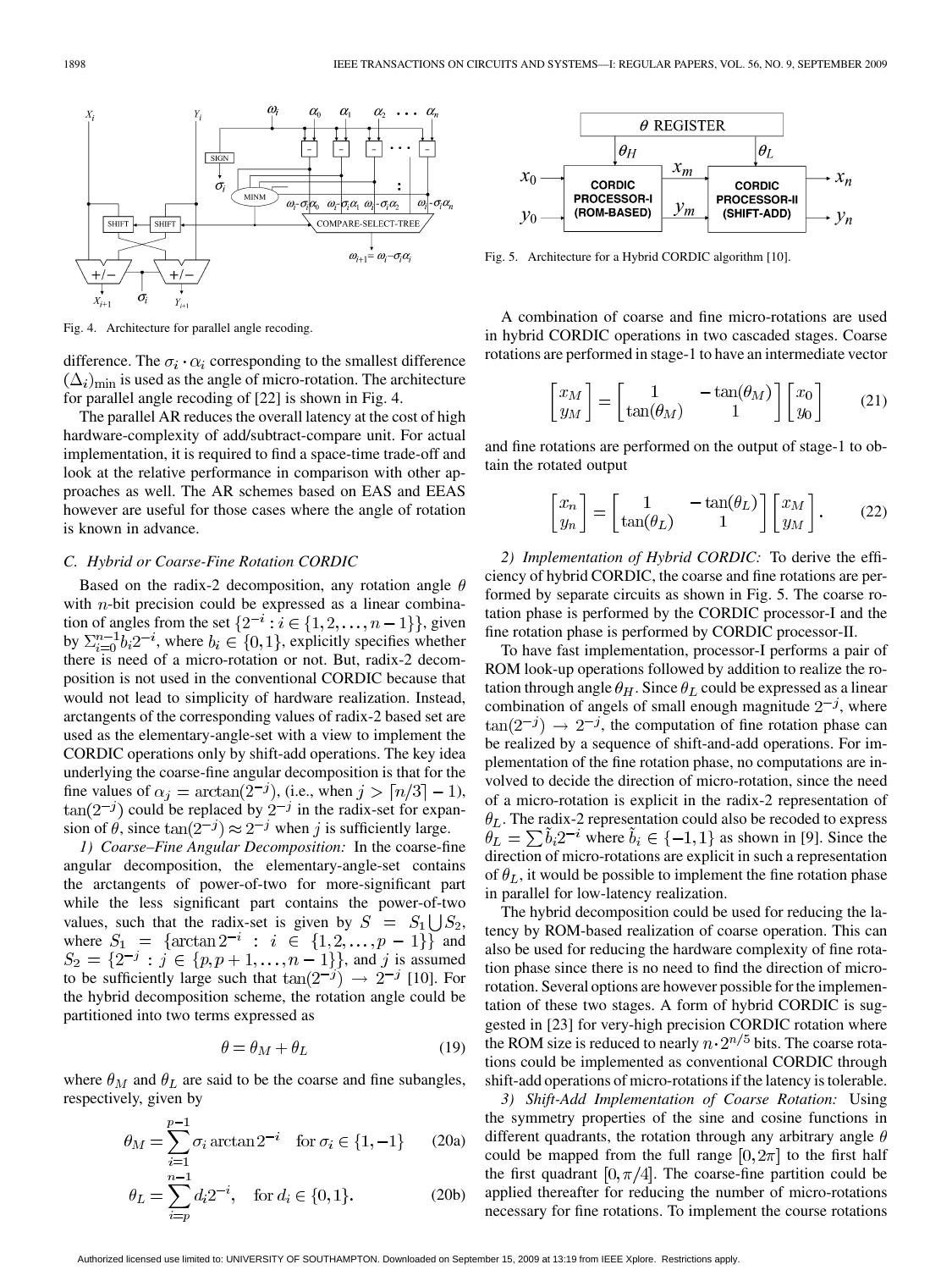

Fig. 4. Architecture for parallel angle recoding.

difference. The  $\sigma_i \cdot \alpha_i$  corresponding to the smallest difference  $(\Delta_i)_{\text{min}}$  is used as the angle of micro-rotation. The architecture for parallel angle recoding of [22] is shown in Fig. 4.

The parallel AR reduces the overall latency at the cost of high hardware-complexity of add/subtract-compare unit. For actual implementation, it is required to find a space-time trade-off and look at the relative performance in comparison with other approaches as well. The AR schemes based on EAS and EEAS however are useful for those cases where the angle of rotation is known in advance.

#### *C. Hybrid or Coarse-Fine Rotation CORDIC*

Based on the radix-2 decomposition, any rotation angle  $\theta$ with  $n$ -bit precision could be expressed as a linear combination of angles from the set  $\{2^{-i} : i \in \{1, 2, \dots, n-1\}\}$ , given by  $\sum_{i=0}^{n-1} b_i 2^{-i}$ , where  $b_i \in \{0,1\}$ , explicitly specifies whether there is need of a micro-rotation or not. But, radix-2 decomposition is not used in the conventional CORDIC because that would not lead to simplicity of hardware realization. Instead, arctangents of the corresponding values of radix-2 based set are used as the elementary-angle-set with a view to implement the CORDIC operations only by shift-add operations. The key idea underlying the coarse-fine angular decomposition is that for the fine values of  $\alpha_j = \arctan(2^{-j})$ , (i.e., when  $j > \lceil n/3 \rceil - 1$ ),  $tan(2^{-j})$  could be replaced by  $2^{-j}$  in the radix-set for expansion of  $\theta$ , since  $\tan(2^{-j}) \approx 2^{-j}$  when j is sufficiently large.

*1) Coarse–Fine Angular Decomposition:* In the coarse-fine angular decomposition, the elementary-angle-set contains the arctangents of power-of-two for more-significant part while the less significant part contains the power-of-two values, such that the radix-set is given by  $S = S_1 \cup S_2$ , where  $S_1 = \{ \arctan 2^{-i} : i \in \{1, 2, ..., p-1\} \}$  and , and  $j$  is assumed to be sufficiently large such that  $tan(2^{-j}) \rightarrow 2^{-j}$  [10]. For the hybrid decomposition scheme, the rotation angle could be partitioned into two terms expressed as

$$
\theta = \theta_M + \theta_L \tag{19}
$$

where  $\theta_M$  and  $\theta_L$  are said to be the coarse and fine subangles, respectively, given by

$$
\theta_M = \sum_{i=1}^{p-1} \sigma_i \arctan 2^{-i} \quad \text{for } \sigma_i \in \{1, -1\} \qquad (20a)
$$

$$
\theta_L = \sum_{i=p}^{n-1} d_i 2^{-i}, \quad \text{for } d_i \in \{0, 1\}.
$$
 (20b)



Fig. 5. Architecture for a Hybrid CORDIC algorithm [10].

A combination of coarse and fine micro-rotations are used in hybrid CORDIC operations in two cascaded stages. Coarse rotations are performed in stage-1 to have an intermediate vector

$$
\begin{bmatrix} x_M \\ y_M \end{bmatrix} = \begin{bmatrix} 1 & -\tan(\theta_M) \\ \tan(\theta_M) & 1 \end{bmatrix} \begin{bmatrix} x_0 \\ y_0 \end{bmatrix} \tag{21}
$$

and fine rotations are performed on the output of stage-1 to obtain the rotated output

$$
\begin{bmatrix} x_n \\ y_n \end{bmatrix} = \begin{bmatrix} 1 & -\tan(\theta_L) \\ \tan(\theta_L) & 1 \end{bmatrix} \begin{bmatrix} x_M \\ y_M \end{bmatrix}.
$$
 (22)

*2) Implementation of Hybrid CORDIC:* To derive the efficiency of hybrid CORDIC, the coarse and fine rotations are performed by separate circuits as shown in Fig. 5. The coarse rotation phase is performed by the CORDIC processor-I and the fine rotation phase is performed by CORDIC processor-II.

To have fast implementation, processor-I performs a pair of ROM look-up operations followed by addition to realize the rotation through angle  $\theta_H$ . Since  $\theta_L$  could be expressed as a linear combination of angels of small enough magnitude  $2^{-j}$ , where  $\tan(2^{-j}) \rightarrow 2^{-j}$ , the computation of fine rotation phase can be realized by a sequence of shift-and-add operations. For implementation of the fine rotation phase, no computations are involved to decide the direction of micro-rotation, since the need of a micro-rotation is explicit in the radix-2 representation of  $\theta_L$ . The radix-2 representation could also be recoded to express  $\theta_L = \sum \tilde{b}_i 2^{-i}$  where  $\tilde{b}_i \in \{-1,1\}$  as shown in [9]. Since the direction of micro-rotations are explicit in such a representation of  $\theta_L$ , it would be possible to implement the fine rotation phase in parallel for low-latency realization.

The hybrid decomposition could be used for reducing the latency by ROM-based realization of coarse operation. This can also be used for reducing the hardware complexity of fine rotation phase since there is no need to find the direction of microrotation. Several options are however possible for the implementation of these two stages. A form of hybrid CORDIC is suggested in [23] for very-high precision CORDIC rotation where the ROM size is reduced to nearly  $n \cdot 2^{n/5}$  bits. The coarse rotations could be implemented as conventional CORDIC through shift-add operations of micro-rotations if the latency is tolerable.

*3) Shift-Add Implementation of Coarse Rotation:* Using the symmetry properties of the sine and cosine functions in different quadrants, the rotation through any arbitrary angle  $\theta$ could be mapped from the full range  $[0, 2\pi]$  to the first half the first quadrant  $[0, \pi/4]$ . The coarse-fine partition could be applied thereafter for reducing the number of micro-rotations necessary for fine rotations. To implement the course rotations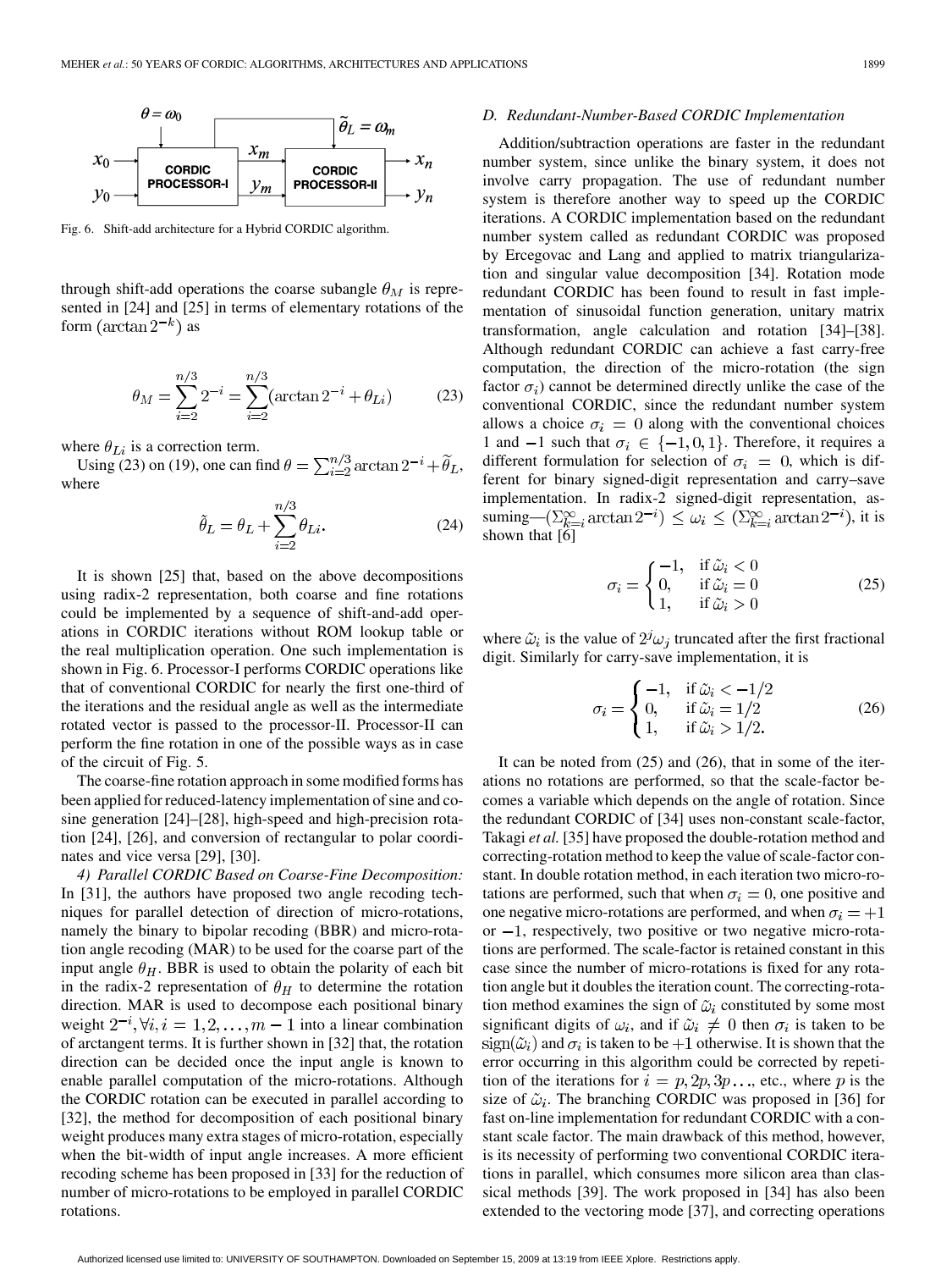

Fig. 6. Shift-add architecture for a Hybrid CORDIC algorithm.

through shift-add operations the coarse subangle  $\theta_M$  is represented in [24] and [25] in terms of elementary rotations of the form  $(\arctan 2^{-k})$  as

$$
\theta_M = \sum_{i=2}^{n/3} 2^{-i} = \sum_{i=2}^{n/3} (\arctan 2^{-i} + \theta_{Li})
$$
 (23)

where  $\theta_{Li}$  is a correction term.

Using (23) on (19), one can find  $\theta = \sum_{i=2}^{n/5} \arctan 2^{-i} + \theta_L$ , where

$$
\tilde{\theta}_L = \theta_L + \sum_{i=2}^{n/3} \theta_{Li}.
$$
 (24)

It is shown [25] that, based on the above decompositions using radix-2 representation, both coarse and fine rotations could be implemented by a sequence of shift-and-add operations in CORDIC iterations without ROM lookup table or the real multiplication operation. One such implementation is shown in Fig. 6. Processor-I performs CORDIC operations like that of conventional CORDIC for nearly the first one-third of the iterations and the residual angle as well as the intermediate rotated vector is passed to the processor-II. Processor-II can perform the fine rotation in one of the possible ways as in case of the circuit of Fig. 5.

The coarse-fine rotation approach in some modified forms has been applied for reduced-latency implementation of sine and cosine generation [24]–[28], high-speed and high-precision rotation [24], [26], and conversion of rectangular to polar coordinates and vice versa [29], [30].

*4) Parallel CORDIC Based on Coarse-Fine Decomposition:* In [31], the authors have proposed two angle recoding techniques for parallel detection of direction of micro-rotations, namely the binary to bipolar recoding (BBR) and micro-rotation angle recoding (MAR) to be used for the coarse part of the input angle  $\theta_H$ . BBR is used to obtain the polarity of each bit in the radix-2 representation of  $\theta_H$  to determine the rotation direction. MAR is used to decompose each positional binary weight  $2^{-i}$ ,  $\forall i, i = 1, 2, ..., m - 1$  into a linear combination of arctangent terms. It is further shown in [32] that, the rotation direction can be decided once the input angle is known to enable parallel computation of the micro-rotations. Although the CORDIC rotation can be executed in parallel according to [32], the method for decomposition of each positional binary weight produces many extra stages of micro-rotation, especially when the bit-width of input angle increases. A more efficient recoding scheme has been proposed in [33] for the reduction of number of micro-rotations to be employed in parallel CORDIC rotations.

Authorized licensed use limited to: UNIVERSITY OF SOUTHAMPTON. Downloaded on September 15, 2009 at 13:19 from IEEE Xplore. Restrictions apply.

## *D. Redundant-Number-Based CORDIC Implementation*

Addition/subtraction operations are faster in the redundant number system, since unlike the binary system, it does not involve carry propagation. The use of redundant number system is therefore another way to speed up the CORDIC iterations. A CORDIC implementation based on the redundant number system called as redundant CORDIC was proposed by Ercegovac and Lang and applied to matrix triangularization and singular value decomposition [34]. Rotation mode redundant CORDIC has been found to result in fast implementation of sinusoidal function generation, unitary matrix transformation, angle calculation and rotation [34]–[38]. Although redundant CORDIC can achieve a fast carry-free computation, the direction of the micro-rotation (the sign factor  $\sigma_i$ ) cannot be determined directly unlike the case of the conventional CORDIC, since the redundant number system allows a choice  $\sigma_i = 0$  along with the conventional choices 1 and  $-1$  such that  $\sigma_i \in \{-1,0,1\}$ . Therefore, it requires a different formulation for selection of  $\sigma_i = 0$ , which is different for binary signed-digit representation and carry–save implementation. In radix-2 signed-digit representation, assuming— $(\sum_{k=i}^{\infty} \arctan 2^{-i}) \leq \omega_i \leq (\sum_{k=i}^{\infty} \arctan 2^{-i})$ , it is shown that [6]

$$
\sigma_i = \begin{cases}\n-1, & \text{if } \tilde{\omega}_i < 0 \\
0, & \text{if } \tilde{\omega}_i = 0 \\
1, & \text{if } \tilde{\omega}_i > 0\n\end{cases} \tag{25}
$$

where  $\tilde{\omega}_i$  is the value of  $2^j \omega_j$  truncated after the first fractional digit. Similarly for carry-save implementation, it is

$$
\sigma_i = \begin{cases}\n-1, & \text{if } \tilde{\omega}_i < -1/2 \\
0, & \text{if } \tilde{\omega}_i = 1/2 \\
1, & \text{if } \tilde{\omega}_i > 1/2.\n\end{cases}
$$
\n(26)

It can be noted from (25) and (26), that in some of the iterations no rotations are performed, so that the scale-factor becomes a variable which depends on the angle of rotation. Since the redundant CORDIC of [34] uses non-constant scale-factor, Takagi *et al.* [35] have proposed the double-rotation method and correcting-rotation method to keep the value of scale-factor constant. In double rotation method, in each iteration two micro-rotations are performed, such that when  $\sigma_i = 0$ , one positive and one negative micro-rotations are performed, and when  $\sigma_i = +1$ or  $-1$ , respectively, two positive or two negative micro-rotations are performed. The scale-factor is retained constant in this case since the number of micro-rotations is fixed for any rotation angle but it doubles the iteration count. The correcting-rotation method examines the sign of  $\tilde{\omega}_i$  constituted by some most significant digits of  $\omega_i$ , and if  $\tilde{\omega}_i \neq 0$  then  $\sigma_i$  is taken to be  $sign(\tilde{\omega}_i)$  and  $\sigma_i$  is taken to be +1 otherwise. It is shown that the error occurring in this algorithm could be corrected by repetition of the iterations for  $i = p, 2p, 3p, \dots$ , etc., where p is the size of  $\tilde{\omega}_i$ . The branching CORDIC was proposed in [36] for fast on-line implementation for redundant CORDIC with a constant scale factor. The main drawback of this method, however, is its necessity of performing two conventional CORDIC iterations in parallel, which consumes more silicon area than classical methods [39]. The work proposed in [34] has also been extended to the vectoring mode [37], and correcting operations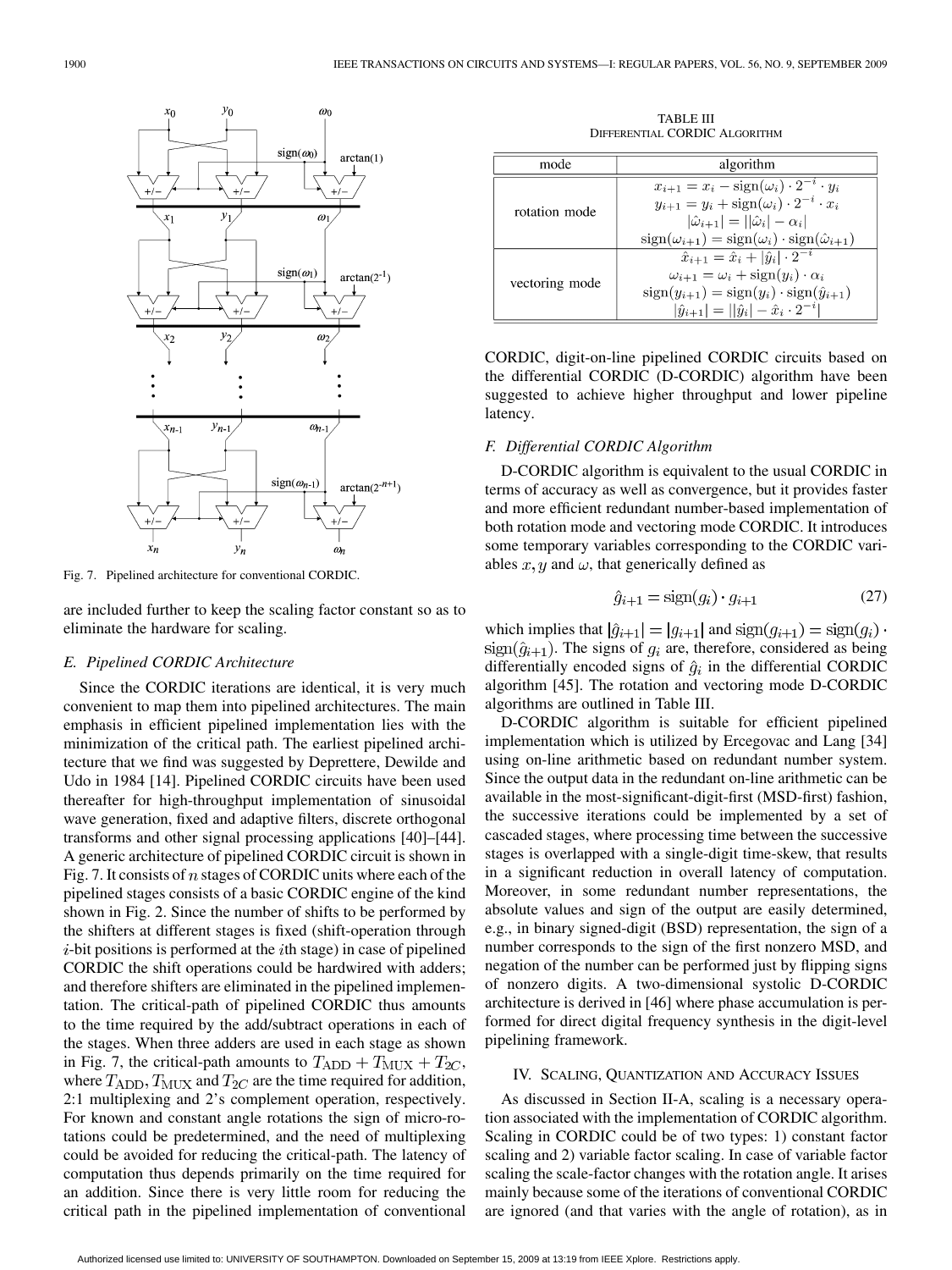

Fig. 7. Pipelined architecture for conventional CORDIC.

are included further to keep the scaling factor constant so as to eliminate the hardware for scaling.

## *E. Pipelined CORDIC Architecture*

Since the CORDIC iterations are identical, it is very much convenient to map them into pipelined architectures. The main emphasis in efficient pipelined implementation lies with the minimization of the critical path. The earliest pipelined architecture that we find was suggested by Deprettere, Dewilde and Udo in 1984 [14]. Pipelined CORDIC circuits have been used thereafter for high-throughput implementation of sinusoidal wave generation, fixed and adaptive filters, discrete orthogonal transforms and other signal processing applications [40]–[44]. A generic architecture of pipelined CORDIC circuit is shown in Fig. 7. It consists of n stages of CORDIC units where each of the pipelined stages consists of a basic CORDIC engine of the kind shown in Fig. 2. Since the number of shifts to be performed by the shifters at different stages is fixed (shift-operation through  $i$ -bit positions is performed at the  $i$ th stage) in case of pipelined CORDIC the shift operations could be hardwired with adders; and therefore shifters are eliminated in the pipelined implementation. The critical-path of pipelined CORDIC thus amounts to the time required by the add/subtract operations in each of the stages. When three adders are used in each stage as shown in Fig. 7, the critical-path amounts to  $T_{ADD} + T_{MUX} + T_{2C}$ , where  $T_{\text{ADD}}, T_{\text{MUX}}$  and  $T_{2C}$  are the time required for addition, 2:1 multiplexing and 2's complement operation, respectively. For known and constant angle rotations the sign of micro-rotations could be predetermined, and the need of multiplexing could be avoided for reducing the critical-path. The latency of computation thus depends primarily on the time required for an addition. Since there is very little room for reducing the critical path in the pipelined implementation of conventional

TABLE III DIFFERENTIAL CORDIC ALGORITHM

| mode           | algorithm                                                            |  |  |
|----------------|----------------------------------------------------------------------|--|--|
|                | $x_{i+1} = x_i - sign(\omega_i) \cdot 2^{-i} \cdot y_i$              |  |  |
| rotation mode  | $y_{i+1} = y_i + sign(\omega_i) \cdot 2^{-i} \cdot x_i$              |  |  |
|                | $ \hat{\omega}_{i+1}  =    \hat{\omega}_i  - \alpha_i  $             |  |  |
|                | $sign(\omega_{i+1}) = sign(\omega_i) \cdot sign(\hat{\omega}_{i+1})$ |  |  |
|                | $\hat{x}_{i+1} = \hat{x}_i +  \hat{y}_i  \cdot 2^{-i}$               |  |  |
| vectoring mode | $\omega_{i+1} = \omega_i + \text{sign}(y_i) \cdot \alpha_i$          |  |  |
|                | $sign(y_{i+1}) = sign(y_i) \cdot sign(\hat{y}_{i+1})$                |  |  |
|                | $ \hat{y}_{i+1}  =   \hat{y}_i  - \hat{x}_i \cdot 2^{-i} $           |  |  |

CORDIC, digit-on-line pipelined CORDIC circuits based on the differential CORDIC (D-CORDIC) algorithm have been suggested to achieve higher throughput and lower pipeline latency.

## *F. Differential CORDIC Algorithm*

D-CORDIC algorithm is equivalent to the usual CORDIC in terms of accuracy as well as convergence, but it provides faster and more efficient redundant number-based implementation of both rotation mode and vectoring mode CORDIC. It introduces some temporary variables corresponding to the CORDIC variables  $x, y$  and  $\omega$ , that generically defined as

$$
\hat{g}_{i+1} = \text{sign}(g_i) \cdot g_{i+1} \tag{27}
$$

which implies that  $|\hat{g}_{i+1}| = |g_{i+1}|$  and  $\text{sign}(g_{i+1}) = \text{sign}(g_i)$ .  $sign(\hat{g}_{i+1})$ . The signs of  $g_i$  are, therefore, considered as being differentially encoded signs of  $\hat{g}_i$  in the differential CORDIC algorithm [45]. The rotation and vectoring mode D-CORDIC algorithms are outlined in Table III.

D-CORDIC algorithm is suitable for efficient pipelined implementation which is utilized by Ercegovac and Lang [34] using on-line arithmetic based on redundant number system. Since the output data in the redundant on-line arithmetic can be available in the most-significant-digit-first (MSD-first) fashion, the successive iterations could be implemented by a set of cascaded stages, where processing time between the successive stages is overlapped with a single-digit time-skew, that results in a significant reduction in overall latency of computation. Moreover, in some redundant number representations, the absolute values and sign of the output are easily determined, e.g., in binary signed-digit (BSD) representation, the sign of a number corresponds to the sign of the first nonzero MSD, and negation of the number can be performed just by flipping signs of nonzero digits. A two-dimensional systolic D-CORDIC architecture is derived in [46] where phase accumulation is performed for direct digital frequency synthesis in the digit-level pipelining framework.

## IV. SCALING, QUANTIZATION AND ACCURACY ISSUES

As discussed in Section II-A, scaling is a necessary operation associated with the implementation of CORDIC algorithm. Scaling in CORDIC could be of two types: 1) constant factor scaling and 2) variable factor scaling. In case of variable factor scaling the scale-factor changes with the rotation angle. It arises mainly because some of the iterations of conventional CORDIC are ignored (and that varies with the angle of rotation), as in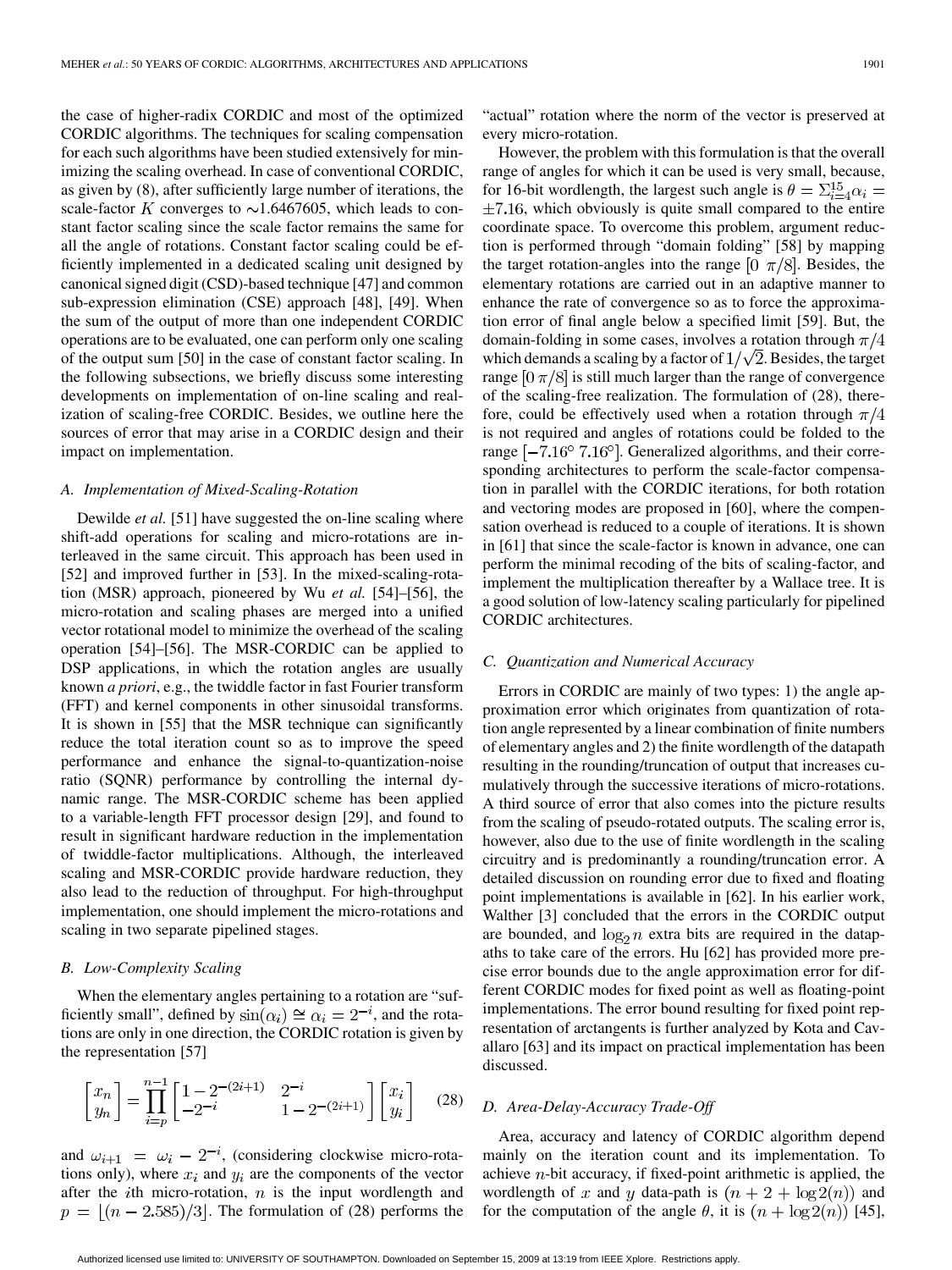the case of higher-radix CORDIC and most of the optimized CORDIC algorithms. The techniques for scaling compensation for each such algorithms have been studied extensively for minimizing the scaling overhead. In case of conventional CORDIC, as given by (8), after sufficiently large number of iterations, the scale-factor K converges to  $\sim$ 1.6467605, which leads to constant factor scaling since the scale factor remains the same for all the angle of rotations. Constant factor scaling could be efficiently implemented in a dedicated scaling unit designed by canonical signed digit (CSD)-based technique [47] and common sub-expression elimination (CSE) approach [48], [49]. When the sum of the output of more than one independent CORDIC operations are to be evaluated, one can perform only one scaling of the output sum [50] in the case of constant factor scaling. In the following subsections, we briefly discuss some interesting developments on implementation of on-line scaling and realization of scaling-free CORDIC. Besides, we outline here the sources of error that may arise in a CORDIC design and their impact on implementation.

#### *A. Implementation of Mixed-Scaling-Rotation*

Dewilde *et al.* [51] have suggested the on-line scaling where shift-add operations for scaling and micro-rotations are interleaved in the same circuit. This approach has been used in [52] and improved further in [53]. In the mixed-scaling-rotation (MSR) approach, pioneered by Wu *et al.* [54]–[56], the micro-rotation and scaling phases are merged into a unified vector rotational model to minimize the overhead of the scaling operation [54]–[56]. The MSR-CORDIC can be applied to DSP applications, in which the rotation angles are usually known *a priori*, e.g., the twiddle factor in fast Fourier transform (FFT) and kernel components in other sinusoidal transforms. It is shown in [55] that the MSR technique can significantly reduce the total iteration count so as to improve the speed performance and enhance the signal-to-quantization-noise ratio (SQNR) performance by controlling the internal dynamic range. The MSR-CORDIC scheme has been applied to a variable-length FFT processor design [29], and found to result in significant hardware reduction in the implementation of twiddle-factor multiplications. Although, the interleaved scaling and MSR-CORDIC provide hardware reduction, they also lead to the reduction of throughput. For high-throughput implementation, one should implement the micro-rotations and scaling in two separate pipelined stages.

## *B. Low-Complexity Scaling*

When the elementary angles pertaining to a rotation are "sufficiently small", defined by  $\sin(\alpha_i) \cong \alpha_i = 2^{-i}$ , and the rotations are only in one direction, the CORDIC rotation is given by the representation [57]

$$
\begin{bmatrix} x_n \\ y_n \end{bmatrix} = \prod_{i=p}^{n-1} \begin{bmatrix} 1 - 2^{-(2i+1)} & 2^{-i} \\ -2^{-i} & 1 - 2^{-(2i+1)} \end{bmatrix} \begin{bmatrix} x_i \\ y_i \end{bmatrix}
$$
 (28)

and  $\omega_{i+1} = \omega_i - 2^{-i}$ , (considering clockwise micro-rotations only), where  $x_i$  and  $y_i$  are the components of the vector after the *i*th micro-rotation,  $n$  is the input wordlength and  $p = \lfloor (n - 2.585)/3 \rfloor$ . The formulation of (28) performs the

"actual" rotation where the norm of the vector is preserved at every micro-rotation.

However, the problem with this formulation is that the overall range of angles for which it can be used is very small, because, for 16-bit wordlength, the largest such angle is  $\theta = \sum_{i=4}^{15} \alpha_i =$  $\pm 7.16$ , which obviously is quite small compared to the entire coordinate space. To overcome this problem, argument reduction is performed through "domain folding" [58] by mapping the target rotation-angles into the range  $[0 \pi/8]$ . Besides, the elementary rotations are carried out in an adaptive manner to enhance the rate of convergence so as to force the approximation error of final angle below a specified limit [59]. But, the domain-folding in some cases, involves a rotation through  $\pi/4$ which demands a scaling by a factor of  $1/\sqrt{2}$ . Besides, the target range  $[0 \pi/8]$  is still much larger than the range of convergence of the scaling-free realization. The formulation of (28), therefore, could be effectively used when a rotation through  $\pi/4$ is not required and angles of rotations could be folded to the range  $\left[-7.16^{\circ} \, 7.16^{\circ}\right]$ . Generalized algorithms, and their corresponding architectures to perform the scale-factor compensation in parallel with the CORDIC iterations, for both rotation and vectoring modes are proposed in [60], where the compensation overhead is reduced to a couple of iterations. It is shown in [61] that since the scale-factor is known in advance, one can perform the minimal recoding of the bits of scaling-factor, and implement the multiplication thereafter by a Wallace tree. It is a good solution of low-latency scaling particularly for pipelined CORDIC architectures.

## *C. Quantization and Numerical Accuracy*

Errors in CORDIC are mainly of two types: 1) the angle approximation error which originates from quantization of rotation angle represented by a linear combination of finite numbers of elementary angles and 2) the finite wordlength of the datapath resulting in the rounding/truncation of output that increases cumulatively through the successive iterations of micro-rotations. A third source of error that also comes into the picture results from the scaling of pseudo-rotated outputs. The scaling error is, however, also due to the use of finite wordlength in the scaling circuitry and is predominantly a rounding/truncation error. A detailed discussion on rounding error due to fixed and floating point implementations is available in [62]. In his earlier work, Walther [3] concluded that the errors in the CORDIC output are bounded, and  $\log_2 n$  extra bits are required in the datapaths to take care of the errors. Hu [62] has provided more precise error bounds due to the angle approximation error for different CORDIC modes for fixed point as well as floating-point implementations. The error bound resulting for fixed point representation of arctangents is further analyzed by Kota and Cavallaro [63] and its impact on practical implementation has been discussed.

## *D. Area-Delay-Accuracy Trade-Off*

Area, accuracy and latency of CORDIC algorithm depend mainly on the iteration count and its implementation. To achieve  $n$ -bit accuracy, if fixed-point arithmetic is applied, the wordlength of x and y data-path is  $(n + 2 + \log 2(n))$  and for the computation of the angle  $\theta$ , it is  $(n + \log 2(n))$  [45],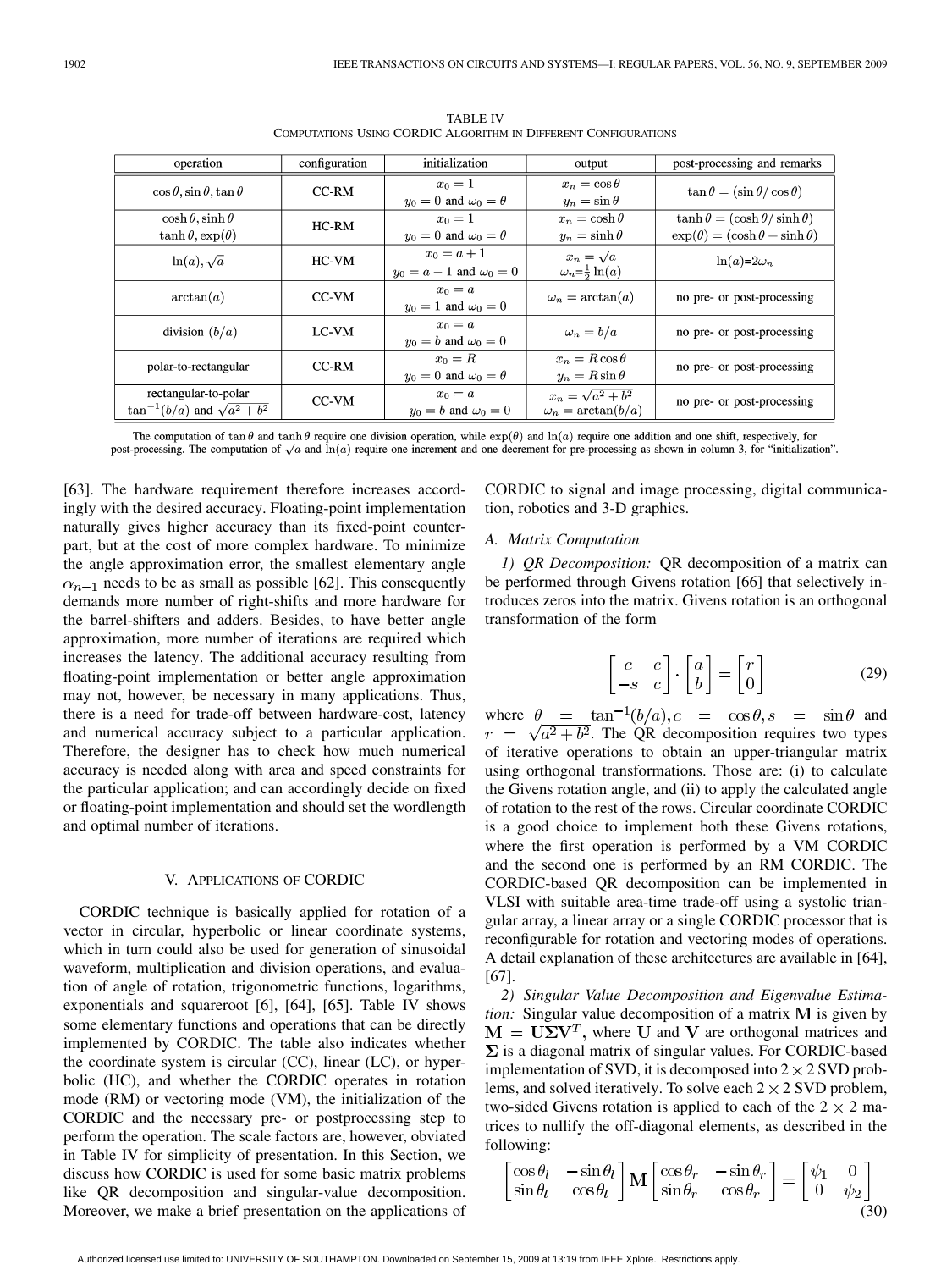| operation                                                          | configuration | initialization                                    | output                                                | post-processing and remarks                                                                      |
|--------------------------------------------------------------------|---------------|---------------------------------------------------|-------------------------------------------------------|--------------------------------------------------------------------------------------------------|
| $\cos \theta$ , $\sin \theta$ , $\tan \theta$                      | $CC-RM$       | $x_0 = 1$<br>$u_0 = 0$ and $\omega_0 = \theta$    | $x_n = \cos \theta$<br>$y_n = \sin \theta$            | $\tan \theta = (\sin \theta / \cos \theta)$                                                      |
| $\cosh \theta$ , $\sinh \theta$<br>$\tanh \theta$ , $\exp(\theta)$ | HC-RM         | $x_0=1$<br>$y_0 = 0$ and $\omega_0 = \theta$      | $x_n = \cosh \theta$<br>$y_n = \sinh \theta$          | $\tanh \theta = (\cosh \theta / \sinh \theta)$<br>$\exp(\theta) = (\cosh \theta + \sinh \theta)$ |
| $\ln(a), \sqrt{a}$                                                 | $HC-VM$       | $x_0 = a + 1$<br>$y_0 = a - 1$ and $\omega_0 = 0$ | $x_n = \sqrt{a}$<br>$\omega_n = \frac{1}{2} \ln(a)$   | $\ln(a)=2\omega_n$                                                                               |
| arctan(a)                                                          | CC-VM         | $x_0 = a$<br>$y_0 = 1$ and $\omega_0 = 0$         | $\omega_n = \arctan(a)$                               | no pre- or post-processing                                                                       |
| division $(b/a)$                                                   | LC VM         | $x_0=a$<br>$u_0 = b$ and $\omega_0 = 0$           | $\omega_n = b/a$                                      | no pre- or post-processing                                                                       |
| polar-to-rectangular                                               | CC-RM         | $x_0 = R$<br>$y_0 = 0$ and $\omega_0 = \theta$    | $x_n = R \cos \theta$<br>$y_n = R \sin \theta$        | no pre- or post-processing                                                                       |
| rectangular-to-polar<br>$\tan^{-1}(b/a)$ and $\sqrt{a^2 + b^2}$    | CC-VM         | $x_0=a$<br>$y_0 = b$ and $\omega_0 = 0$           | $x_n = \sqrt{a^2 + b^2}$<br>$\omega_n = \arctan(b/a)$ | no pre- or post-processing                                                                       |

TABLE IV COMPUTATIONS USING CORDIC ALGORITHM IN DIFFERENT CONFIGURATIONS

The computation of  $\tan \theta$  and  $\tanh \theta$  require one division operation, while  $\exp(\theta)$  and  $\ln(a)$  require one addition and one shift, respectively, for post-processing. The computation of  $\sqrt{a}$  and  $\ln(a)$  require one increment and one decrement for pre-processing as shown in column 3, for "initialization".

[63]. The hardware requirement therefore increases accordingly with the desired accuracy. Floating-point implementation naturally gives higher accuracy than its fixed-point counterpart, but at the cost of more complex hardware. To minimize the angle approximation error, the smallest elementary angle  $\alpha_{n-1}$  needs to be as small as possible [62]. This consequently demands more number of right-shifts and more hardware for the barrel-shifters and adders. Besides, to have better angle approximation, more number of iterations are required which increases the latency. The additional accuracy resulting from floating-point implementation or better angle approximation may not, however, be necessary in many applications. Thus, there is a need for trade-off between hardware-cost, latency and numerical accuracy subject to a particular application. Therefore, the designer has to check how much numerical accuracy is needed along with area and speed constraints for the particular application; and can accordingly decide on fixed or floating-point implementation and should set the wordlength and optimal number of iterations.

#### V. APPLICATIONS OF CORDIC

CORDIC technique is basically applied for rotation of a vector in circular, hyperbolic or linear coordinate systems, which in turn could also be used for generation of sinusoidal waveform, multiplication and division operations, and evaluation of angle of rotation, trigonometric functions, logarithms, exponentials and squareroot [6], [64], [65]. Table IV shows some elementary functions and operations that can be directly implemented by CORDIC. The table also indicates whether the coordinate system is circular (CC), linear (LC), or hyperbolic (HC), and whether the CORDIC operates in rotation mode (RM) or vectoring mode (VM), the initialization of the CORDIC and the necessary pre- or postprocessing step to perform the operation. The scale factors are, however, obviated in Table IV for simplicity of presentation. In this Section, we discuss how CORDIC is used for some basic matrix problems like QR decomposition and singular-value decomposition. Moreover, we make a brief presentation on the applications of CORDIC to signal and image processing, digital communication, robotics and 3-D graphics.

#### *A. Matrix Computation*

*1) QR Decomposition:* QR decomposition of a matrix can be performed through Givens rotation [66] that selectively introduces zeros into the matrix. Givens rotation is an orthogonal transformation of the form

$$
\begin{bmatrix} c & c \\ -s & c \end{bmatrix} \cdot \begin{bmatrix} a \\ b \end{bmatrix} = \begin{bmatrix} r \\ 0 \end{bmatrix}
$$
 (29)

where  $\theta = \tan^{-1}(b/a)$ ,  $c = \cos \theta$ ,  $s = \sin \theta$  and  $r = \sqrt{a^2 + b^2}$ . The QR decomposition requires two types of iterative operations to obtain an upper-triangular matrix using orthogonal transformations. Those are: (i) to calculate the Givens rotation angle, and (ii) to apply the calculated angle of rotation to the rest of the rows. Circular coordinate CORDIC is a good choice to implement both these Givens rotations, where the first operation is performed by a VM CORDIC and the second one is performed by an RM CORDIC. The CORDIC-based QR decomposition can be implemented in VLSI with suitable area-time trade-off using a systolic triangular array, a linear array or a single CORDIC processor that is reconfigurable for rotation and vectoring modes of operations. A detail explanation of these architectures are available in [64], [67].

*2) Singular Value Decomposition and Eigenvalue Estimation:* Singular value decomposition of a matrix  $M$  is given by  $M = U\Sigma V^T$ , where U and V are orthogonal matrices and  $\Sigma$  is a diagonal matrix of singular values. For CORDIC-based implementation of SVD, it is decomposed into  $2 \times 2$  SVD problems, and solved iteratively. To solve each  $2 \times 2$  SVD problem, two-sided Givens rotation is applied to each of the  $2 \times 2$  matrices to nullify the off-diagonal elements, as described in the following:

$$
\begin{bmatrix}\n\cos \theta_l & -\sin \theta_l \\
\sin \theta_l & \cos \theta_l\n\end{bmatrix}\n\mathbf{M}\n\begin{bmatrix}\n\cos \theta_r & -\sin \theta_r \\
\sin \theta_r & \cos \theta_r\n\end{bmatrix}\n=\n\begin{bmatrix}\n\psi_1 & 0 \\
0 & \psi_2\n\end{bmatrix}
$$
\n(30)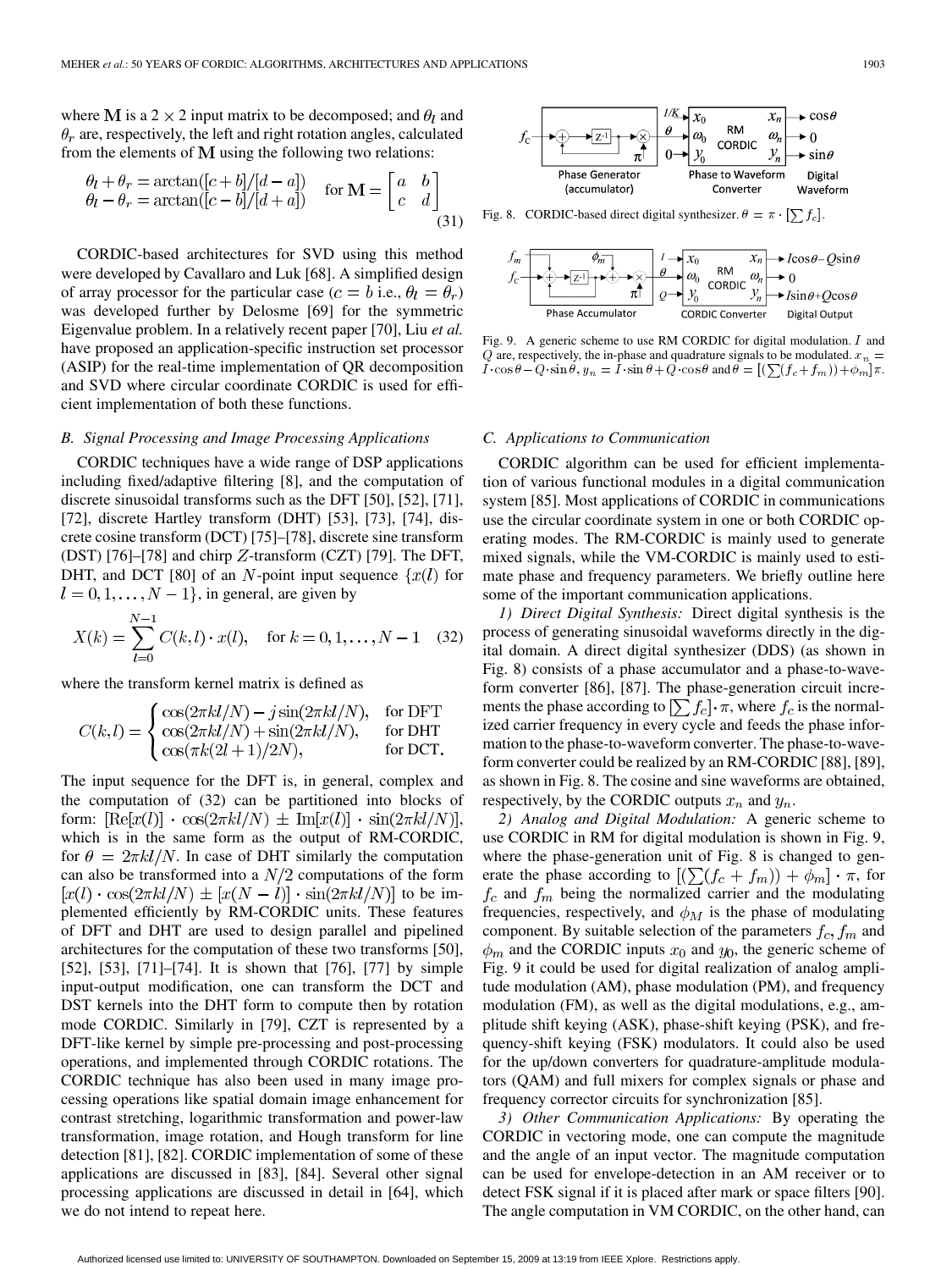where M is a 2  $\times$  2 input matrix to be decomposed; and  $\theta_l$  and  $\theta_r$  are, respectively, the left and right rotation angles, calculated from the elements of  $M$  using the following two relations:

$$
\theta_l + \theta_r = \arctan([c+b]/[d-a]) \quad \text{for } \mathbf{M} = \begin{bmatrix} a & b \\ c & d \end{bmatrix}
$$
  

$$
\theta_l - \theta_r = \arctan([c-b]/[d+a]) \quad \text{for } \mathbf{M} = \begin{bmatrix} a & b \\ c & d \end{bmatrix}
$$
 (31)

CORDIC-based architectures for SVD using this method were developed by Cavallaro and Luk [68]. A simplified design of array processor for the particular case ( $c = b$  i.e.,  $\theta_l = \theta_r$ ) was developed further by Delosme [69] for the symmetric Eigenvalue problem. In a relatively recent paper [70], Liu *et al.* have proposed an application-specific instruction set processor (ASIP) for the real-time implementation of QR decomposition and SVD where circular coordinate CORDIC is used for efficient implementation of both these functions.

#### *B. Signal Processing and Image Processing Applications*

CORDIC techniques have a wide range of DSP applications including fixed/adaptive filtering [8], and the computation of discrete sinusoidal transforms such as the DFT [50], [52], [71], [72], discrete Hartley transform (DHT) [53], [73], [74], discrete cosine transform (DCT) [75]–[78], discrete sine transform (DST) [76] $-[78]$  and chirp  $Z$ -transform (CZT) [79]. The DFT, DHT, and DCT [80] of an N-point input sequence  $\{x(l)\}$  for  $l = 0, 1, \ldots, N - 1$ , in general, are given by

$$
X(k) = \sum_{l=0}^{N-1} C(k, l) \cdot x(l), \quad \text{for } k = 0, 1, \dots, N-1 \quad (32)
$$

where the transform kernel matrix is defined as

$$
C(k,l) = \begin{cases} \cos(2\pi kl/N) - j\sin(2\pi kl/N), & \text{for DFT} \\ \cos(2\pi kl/N) + \sin(2\pi kl/N), & \text{for DHT} \\ \cos(\pi k(2l+1)/2N), & \text{for DCT.} \end{cases}
$$

The input sequence for the DFT is, in general, complex and the computation of (32) can be partitioned into blocks of form:  $[\text{Re}[x(l)] \cdot \cos(2\pi kl/N) \pm \text{Im}[x(l)] \cdot \sin(2\pi kl/N)],$ which is in the same form as the output of RM-CORDIC, for  $\theta = 2\pi kl/N$ . In case of DHT similarly the computation can also be transformed into a  $N/2$  computations of the form  $[x(l)\cdot \cos(2\pi kl/N) \pm [x(N-l)]\cdot \sin(2\pi kl/N)]$  to be implemented efficiently by RM-CORDIC units. These features of DFT and DHT are used to design parallel and pipelined architectures for the computation of these two transforms [50], [52], [53], [71]–[74]. It is shown that [76], [77] by simple input-output modification, one can transform the DCT and DST kernels into the DHT form to compute then by rotation mode CORDIC. Similarly in [79], CZT is represented by a DFT-like kernel by simple pre-processing and post-processing operations, and implemented through CORDIC rotations. The CORDIC technique has also been used in many image processing operations like spatial domain image enhancement for contrast stretching, logarithmic transformation and power-law transformation, image rotation, and Hough transform for line detection [81], [82]. CORDIC implementation of some of these applications are discussed in [83], [84]. Several other signal processing applications are discussed in detail in [64], which we do not intend to repeat here.





Fig. 9. A generic scheme to use RM CORDIC for digital modulation.  $I$  and Q are, respectively, the in-phase and quadrature signals to be modulated.  $x_n =$ Fig. 9. A generic scheme to use RM CORDIC for digital modulation. *I* and *Q* are, respectively, the in-phase and quadrature signals to be modulated.  $x_n = I \cdot \cos \theta - Q \cdot \sin \theta$ ,  $y_n = I \cdot \sin \theta + Q \cdot \cos \theta$  and  $\theta = [(\sum (f_c + f_m)) + \phi_m] \pi$ .

#### *C. Applications to Communication*

CORDIC algorithm can be used for efficient implementation of various functional modules in a digital communication system [85]. Most applications of CORDIC in communications use the circular coordinate system in one or both CORDIC operating modes. The RM-CORDIC is mainly used to generate mixed signals, while the VM-CORDIC is mainly used to estimate phase and frequency parameters. We briefly outline here some of the important communication applications.

*1) Direct Digital Synthesis:* Direct digital synthesis is the process of generating sinusoidal waveforms directly in the digital domain. A direct digital synthesizer (DDS) (as shown in Fig. 8) consists of a phase accumulator and a phase-to-waveform converter [86], [87]. The phase-generation circuit increments the phase according to  $[\sum f_c] \cdot \pi$ , where  $f_c$  is the normalized carrier frequency in every cycle and feeds the phase information to the phase-to-waveform converter. The phase-to-waveform converter could be realized by an RM-CORDIC [88], [89], as shown in Fig. 8. The cosine and sine waveforms are obtained, respectively, by the CORDIC outputs  $x_n$  and  $y_n$ .

*2) Analog and Digital Modulation:* A generic scheme to use CORDIC in RM for digital modulation is shown in Fig. 9, where the phase-generation unit of Fig. 8 is changed to generate the phase according to  $[(\sum (f_c + f_m)) + \phi_m] \cdot \pi$ , for  $f_c$  and  $f_m$  being the normalized carrier and the modulating frequencies, respectively, and  $\phi_M$  is the phase of modulating component. By suitable selection of the parameters  $f_c, f_m$  and  $\phi_m$  and the CORDIC inputs  $x_0$  and  $y_0$ , the generic scheme of Fig. 9 it could be used for digital realization of analog amplitude modulation (AM), phase modulation (PM), and frequency modulation (FM), as well as the digital modulations, e.g., amplitude shift keying (ASK), phase-shift keying (PSK), and frequency-shift keying (FSK) modulators. It could also be used for the up/down converters for quadrature-amplitude modulators (QAM) and full mixers for complex signals or phase and frequency corrector circuits for synchronization [85].

*3) Other Communication Applications:* By operating the CORDIC in vectoring mode, one can compute the magnitude and the angle of an input vector. The magnitude computation can be used for envelope-detection in an AM receiver or to detect FSK signal if it is placed after mark or space filters [90]. The angle computation in VM CORDIC, on the other hand, can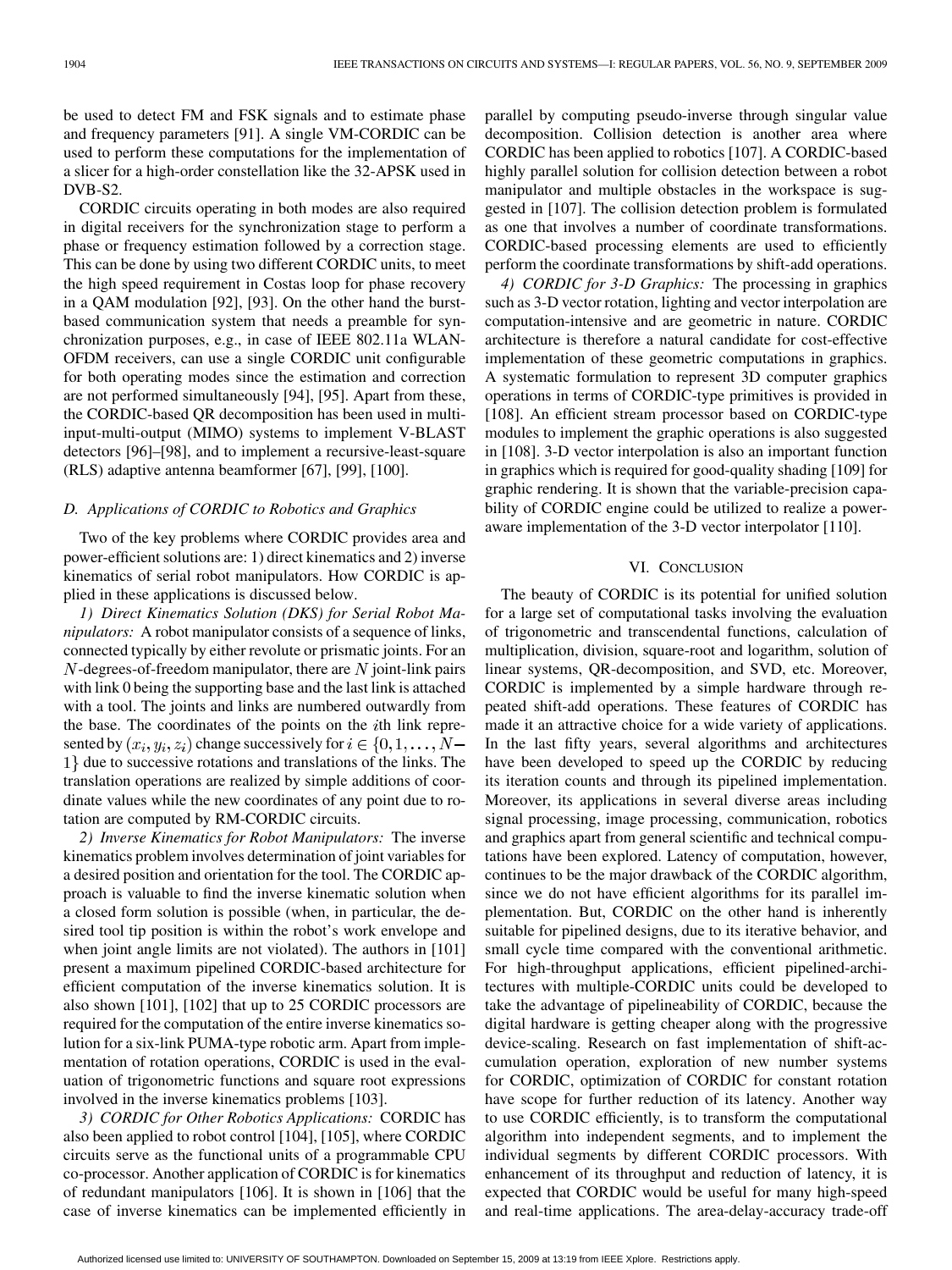be used to detect FM and FSK signals and to estimate phase and frequency parameters [91]. A single VM-CORDIC can be used to perform these computations for the implementation of a slicer for a high-order constellation like the 32-APSK used in DVB-S2.

CORDIC circuits operating in both modes are also required in digital receivers for the synchronization stage to perform a phase or frequency estimation followed by a correction stage. This can be done by using two different CORDIC units, to meet the high speed requirement in Costas loop for phase recovery in a QAM modulation [92], [93]. On the other hand the burstbased communication system that needs a preamble for synchronization purposes, e.g., in case of IEEE 802.11a WLAN-OFDM receivers, can use a single CORDIC unit configurable for both operating modes since the estimation and correction are not performed simultaneously [94], [95]. Apart from these, the CORDIC-based QR decomposition has been used in multiinput-multi-output (MIMO) systems to implement V-BLAST detectors [96]–[98], and to implement a recursive-least-square (RLS) adaptive antenna beamformer [67], [99], [100].

## *D. Applications of CORDIC to Robotics and Graphics*

Two of the key problems where CORDIC provides area and power-efficient solutions are: 1) direct kinematics and 2) inverse kinematics of serial robot manipulators. How CORDIC is applied in these applications is discussed below.

*1) Direct Kinematics Solution (DKS) for Serial Robot Manipulators:* A robot manipulator consists of a sequence of links, connected typically by either revolute or prismatic joints. For an  $N$ -degrees-of-freedom manipulator, there are  $N$  joint-link pairs with link 0 being the supporting base and the last link is attached with a tool. The joints and links are numbered outwardly from the base. The coordinates of the points on the  $i$ th link represented by  $(x_i, y_i, z_i)$  change successively for  $i \in \{0, 1, \ldots, N-\}$ 1} due to successive rotations and translations of the links. The translation operations are realized by simple additions of coordinate values while the new coordinates of any point due to rotation are computed by RM-CORDIC circuits.

*2) Inverse Kinematics for Robot Manipulators:* The inverse kinematics problem involves determination of joint variables for a desired position and orientation for the tool. The CORDIC approach is valuable to find the inverse kinematic solution when a closed form solution is possible (when, in particular, the desired tool tip position is within the robot's work envelope and when joint angle limits are not violated). The authors in [101] present a maximum pipelined CORDIC-based architecture for efficient computation of the inverse kinematics solution. It is also shown [101], [102] that up to 25 CORDIC processors are required for the computation of the entire inverse kinematics solution for a six-link PUMA-type robotic arm. Apart from implementation of rotation operations, CORDIC is used in the evaluation of trigonometric functions and square root expressions involved in the inverse kinematics problems [103].

*3) CORDIC for Other Robotics Applications:* CORDIC has also been applied to robot control [104], [105], where CORDIC circuits serve as the functional units of a programmable CPU co-processor. Another application of CORDIC is for kinematics of redundant manipulators [106]. It is shown in [106] that the case of inverse kinematics can be implemented efficiently in

parallel by computing pseudo-inverse through singular value decomposition. Collision detection is another area where CORDIC has been applied to robotics [107]. A CORDIC-based highly parallel solution for collision detection between a robot manipulator and multiple obstacles in the workspace is suggested in [107]. The collision detection problem is formulated as one that involves a number of coordinate transformations. CORDIC-based processing elements are used to efficiently perform the coordinate transformations by shift-add operations.

*4) CORDIC for 3-D Graphics:* The processing in graphics such as 3-D vector rotation, lighting and vector interpolation are computation-intensive and are geometric in nature. CORDIC architecture is therefore a natural candidate for cost-effective implementation of these geometric computations in graphics. A systematic formulation to represent 3D computer graphics operations in terms of CORDIC-type primitives is provided in [108]. An efficient stream processor based on CORDIC-type modules to implement the graphic operations is also suggested in [108]. 3-D vector interpolation is also an important function in graphics which is required for good-quality shading [109] for graphic rendering. It is shown that the variable-precision capability of CORDIC engine could be utilized to realize a poweraware implementation of the 3-D vector interpolator [110].

#### VI. CONCLUSION

The beauty of CORDIC is its potential for unified solution for a large set of computational tasks involving the evaluation of trigonometric and transcendental functions, calculation of multiplication, division, square-root and logarithm, solution of linear systems, QR-decomposition, and SVD, etc. Moreover, CORDIC is implemented by a simple hardware through repeated shift-add operations. These features of CORDIC has made it an attractive choice for a wide variety of applications. In the last fifty years, several algorithms and architectures have been developed to speed up the CORDIC by reducing its iteration counts and through its pipelined implementation. Moreover, its applications in several diverse areas including signal processing, image processing, communication, robotics and graphics apart from general scientific and technical computations have been explored. Latency of computation, however, continues to be the major drawback of the CORDIC algorithm, since we do not have efficient algorithms for its parallel implementation. But, CORDIC on the other hand is inherently suitable for pipelined designs, due to its iterative behavior, and small cycle time compared with the conventional arithmetic. For high-throughput applications, efficient pipelined-architectures with multiple-CORDIC units could be developed to take the advantage of pipelineability of CORDIC, because the digital hardware is getting cheaper along with the progressive device-scaling. Research on fast implementation of shift-accumulation operation, exploration of new number systems for CORDIC, optimization of CORDIC for constant rotation have scope for further reduction of its latency. Another way to use CORDIC efficiently, is to transform the computational algorithm into independent segments, and to implement the individual segments by different CORDIC processors. With enhancement of its throughput and reduction of latency, it is expected that CORDIC would be useful for many high-speed and real-time applications. The area-delay-accuracy trade-off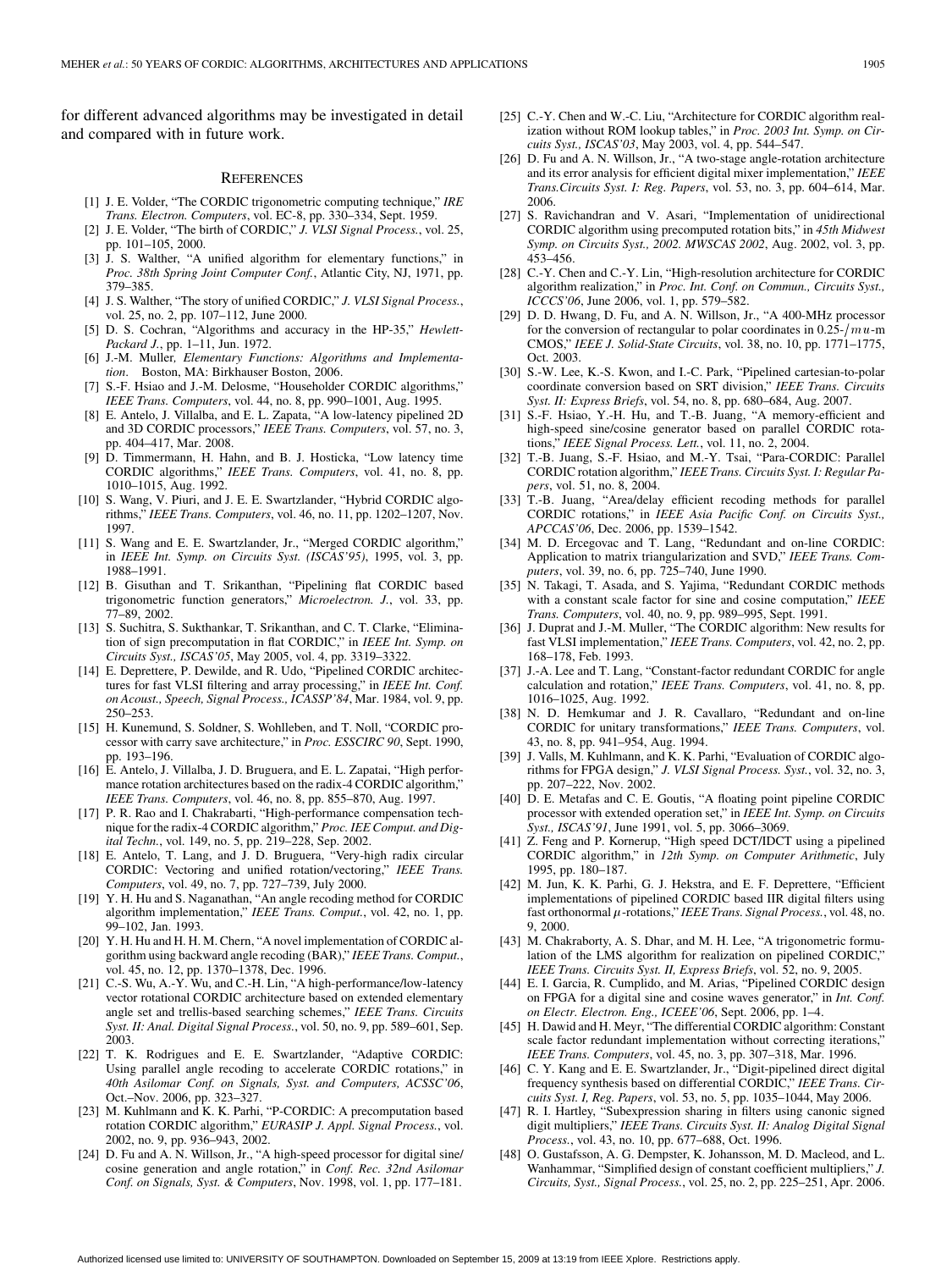for different advanced algorithms may be investigated in detail and compared with in future work.

#### **REFERENCES**

- [1] J. E. Volder, "The CORDIC trigonometric computing technique," *IRE Trans. Electron. Computers*, vol. EC-8, pp. 330–334, Sept. 1959.
- [2] J. E. Volder, "The birth of CORDIC," *J. VLSI Signal Process.*, vol. 25, pp. 101–105, 2000.
- [3] J. S. Walther, "A unified algorithm for elementary functions," in *Proc. 38th Spring Joint Computer Conf.*, Atlantic City, NJ, 1971, pp. 379–385.
- [4] J. S. Walther, "The story of unified CORDIC," *J. VLSI Signal Process.*, vol. 25, no. 2, pp. 107–112, June 2000.
- [5] D. S. Cochran, "Algorithms and accuracy in the HP-35," *Hewlett-Packard J.*, pp. 1–11, Jun. 1972.
- [6] J.-M. Muller*, Elementary Functions: Algorithms and Implementation*. Boston, MA: Birkhauser Boston, 2006.
- [7] S.-F. Hsiao and J.-M. Delosme, "Householder CORDIC algorithms," *IEEE Trans. Computers*, vol. 44, no. 8, pp. 990–1001, Aug. 1995.
- [8] E. Antelo, J. Villalba, and E. L. Zapata, "A low-latency pipelined 2D and 3D CORDIC processors," *IEEE Trans. Computers*, vol. 57, no. 3, pp. 404–417, Mar. 2008.
- [9] D. Timmermann, H. Hahn, and B. J. Hosticka, "Low latency time CORDIC algorithms," *IEEE Trans. Computers*, vol. 41, no. 8, pp. 1010–1015, Aug. 1992.
- [10] S. Wang, V. Piuri, and J. E. E. Swartzlander, "Hybrid CORDIC algorithms," *IEEE Trans. Computers*, vol. 46, no. 11, pp. 1202–1207, Nov. 1997.
- [11] S. Wang and E. E. Swartzlander, Jr., "Merged CORDIC algorithm," in *IEEE Int. Symp. on Circuits Syst. (ISCAS'95)*, 1995, vol. 3, pp. 1988–1991.
- [12] B. Gisuthan and T. Srikanthan, "Pipelining flat CORDIC based trigonometric function generators," *Microelectron. J.*, vol. 33, pp. 77–89, 2002.
- [13] S. Suchitra, S. Sukthankar, T. Srikanthan, and C. T. Clarke, "Elimination of sign precomputation in flat CORDIC," in *IEEE Int. Symp. on Circuits Syst., ISCAS'05*, May 2005, vol. 4, pp. 3319–3322.
- [14] E. Deprettere, P. Dewilde, and R. Udo, "Pipelined CORDIC architectures for fast VLSI filtering and array processing," in *IEEE Int. Conf. on Acoust., Speech, Signal Process., ICASSP'84*, Mar. 1984, vol. 9, pp. 250–253.
- [15] H. Kunemund, S. Soldner, S. Wohlleben, and T. Noll, "CORDIC processor with carry save architecture," in *Proc. ESSCIRC 90*, Sept. 1990, pp. 193–196.
- [16] E. Antelo, J. Villalba, J. D. Bruguera, and E. L. Zapatai, "High performance rotation architectures based on the radix-4 CORDIC algorithm," *IEEE Trans. Computers*, vol. 46, no. 8, pp. 855–870, Aug. 1997.
- [17] P. R. Rao and I. Chakrabarti, "High-performance compensation technique for the radix-4 CORDIC algorithm," *Proc. IEE Comput. and Digital Techn.*, vol. 149, no. 5, pp. 219–228, Sep. 2002.
- [18] E. Antelo, T. Lang, and J. D. Bruguera, "Very-high radix circular CORDIC: Vectoring and unified rotation/vectoring," *IEEE Trans. Computers*, vol. 49, no. 7, pp. 727–739, July 2000.
- [19] Y. H. Hu and S. Naganathan, "An angle recoding method for CORDIC algorithm implementation," *IEEE Trans. Comput.*, vol. 42, no. 1, pp. 99–102, Jan. 1993.
- [20] Y. H. Hu and H. H. M. Chern, "A novel implementation of CORDIC algorithm using backward angle recoding (BAR)," *IEEE Trans. Comput.*, vol. 45, no. 12, pp. 1370–1378, Dec. 1996.
- [21] C.-S. Wu, A.-Y. Wu, and C.-H. Lin, "A high-performance/low-latency vector rotational CORDIC architecture based on extended elementary angle set and trellis-based searching schemes," *IEEE Trans. Circuits Syst. II: Anal. Digital Signal Process.*, vol. 50, no. 9, pp. 589–601, Sep. 2003.
- [22] T. K. Rodrigues and E. E. Swartzlander, "Adaptive CORDIC: Using parallel angle recoding to accelerate CORDIC rotations," in *40th Asilomar Conf. on Signals, Syst. and Computers, ACSSC'06*, Oct.–Nov. 2006, pp. 323–327.
- [23] M. Kuhlmann and K. K. Parhi, "P-CORDIC: A precomputation based rotation CORDIC algorithm," *EURASIP J. Appl. Signal Process.*, vol. 2002, no. 9, pp. 936–943, 2002.
- [24] D. Fu and A. N. Willson, Jr., "A high-speed processor for digital sine/ cosine generation and angle rotation," in *Conf. Rec. 32nd Asilomar Conf. on Signals, Syst. & Computers*, Nov. 1998, vol. 1, pp. 177–181.
- [25] C.-Y. Chen and W.-C. Liu, "Architecture for CORDIC algorithm realization without ROM lookup tables," in *Proc. 2003 Int. Symp. on Circuits Syst., ISCAS'03*, May 2003, vol. 4, pp. 544–547.
- [26] D. Fu and A. N. Willson, Jr., "A two-stage angle-rotation architecture and its error analysis for efficient digital mixer implementation," *IEEE Trans.Circuits Syst. I: Reg. Papers*, vol. 53, no. 3, pp. 604–614, Mar. 2006.
- [27] S. Ravichandran and V. Asari, "Implementation of unidirectional CORDIC algorithm using precomputed rotation bits," in *45th Midwest Symp. on Circuits Syst., 2002. MWSCAS 2002*, Aug. 2002, vol. 3, pp. 453–456.
- [28] C.-Y. Chen and C.-Y. Lin, "High-resolution architecture for CORDIC algorithm realization," in *Proc. Int. Conf. on Commun., Circuits Syst., ICCCS'06*, June 2006, vol. 1, pp. 579–582.
- [29] D. D. Hwang, D. Fu, and A. N. Willson, Jr., "A 400-MHz processor for the conversion of rectangular to polar coordinates in 0.25- $/mu$ -m CMOS," *IEEE J. Solid-State Circuits*, vol. 38, no. 10, pp. 1771–1775, Oct. 2003.
- [30] S.-W. Lee, K.-S. Kwon, and I.-C. Park, "Pipelined cartesian-to-polar coordinate conversion based on SRT division," *IEEE Trans. Circuits Syst. II: Express Briefs*, vol. 54, no. 8, pp. 680–684, Aug. 2007.
- [31] S.-F. Hsiao, Y.-H. Hu, and T.-B. Juang, "A memory-efficient and high-speed sine/cosine generator based on parallel CORDIC rotations," *IEEE Signal Process. Lett.*, vol. 11, no. 2, 2004.
- [32] T.-B. Juang, S.-F. Hsiao, and M.-Y. Tsai, "Para-CORDIC: Parallel CORDIC rotation algorithm," *IEEE Trans. Circuits Syst. I: Regular Papers*, vol. 51, no. 8, 2004.
- [33] T.-B. Juang, "Area/delay efficient recoding methods for parallel CORDIC rotations," in *IEEE Asia Pacific Conf. on Circuits Syst., APCCAS'06*, Dec. 2006, pp. 1539–1542.
- [34] M. D. Ercegovac and T. Lang, "Redundant and on-line CORDIC: Application to matrix triangularization and SVD," *IEEE Trans. Computers*, vol. 39, no. 6, pp. 725–740, June 1990.
- [35] N. Takagi, T. Asada, and S. Yajima, "Redundant CORDIC methods with a constant scale factor for sine and cosine computation," *IEEE Trans. Computers*, vol. 40, no. 9, pp. 989–995, Sept. 1991.
- [36] J. Duprat and J.-M. Muller, "The CORDIC algorithm: New results for fast VLSI implementation," *IEEE Trans. Computers*, vol. 42, no. 2, pp. 168–178, Feb. 1993.
- [37] J.-A. Lee and T. Lang, "Constant-factor redundant CORDIC for angle calculation and rotation," *IEEE Trans. Computers*, vol. 41, no. 8, pp. 1016–1025, Aug. 1992.
- [38] N. D. Hemkumar and J. R. Cavallaro, "Redundant and on-line CORDIC for unitary transformations," *IEEE Trans. Computers*, vol. 43, no. 8, pp. 941–954, Aug. 1994.
- [39] J. Valls, M. Kuhlmann, and K. K. Parhi, "Evaluation of CORDIC algorithms for FPGA design," *J. VLSI Signal Process. Syst.*, vol. 32, no. 3, pp. 207–222, Nov. 2002.
- [40] D. E. Metafas and C. E. Goutis, "A floating point pipeline CORDIC processor with extended operation set," in *IEEE Int. Symp. on Circuits Syst., ISCAS'91*, June 1991, vol. 5, pp. 3066–3069.
- [41] Z. Feng and P. Kornerup, "High speed DCT/IDCT using a pipelined CORDIC algorithm," in *12th Symp. on Computer Arithmetic*, July 1995, pp. 180–187.
- [42] M. Jun, K. K. Parhi, G. J. Hekstra, and E. F. Deprettere, "Efficient implementations of pipelined CORDIC based IIR digital filters using fast orthonormal  $\mu$ -rotations," *IEEE Trans. Signal Process.*, vol. 48, no. 9, 2000.
- [43] M. Chakraborty, A. S. Dhar, and M. H. Lee, "A trigonometric formulation of the LMS algorithm for realization on pipelined CORDIC, *IEEE Trans. Circuits Syst. II, Express Briefs*, vol. 52, no. 9, 2005.
- [44] E. I. Garcia, R. Cumplido, and M. Arias, "Pipelined CORDIC design on FPGA for a digital sine and cosine waves generator," in *Int. Conf. on Electr. Electron. Eng., ICEEE'06*, Sept. 2006, pp. 1–4.
- [45] H. Dawid and H. Meyr, "The differential CORDIC algorithm: Constant scale factor redundant implementation without correcting iterations," *IEEE Trans. Computers*, vol. 45, no. 3, pp. 307–318, Mar. 1996.
- [46] C. Y. Kang and E. E. Swartzlander, Jr., "Digit-pipelined direct digital frequency synthesis based on differential CORDIC," *IEEE Trans. Circuits Syst. I, Reg. Papers*, vol. 53, no. 5, pp. 1035–1044, May 2006.
- [47] R. I. Hartley, "Subexpression sharing in filters using canonic signed digit multipliers," *IEEE Trans. Circuits Syst. II: Analog Digital Signal Process.*, vol. 43, no. 10, pp. 677–688, Oct. 1996.
- [48] O. Gustafsson, A. G. Dempster, K. Johansson, M. D. Macleod, and L. Wanhammar, "Simplified design of constant coefficient multipliers," *J. Circuits, Syst., Signal Process.*, vol. 25, no. 2, pp. 225–251, Apr. 2006.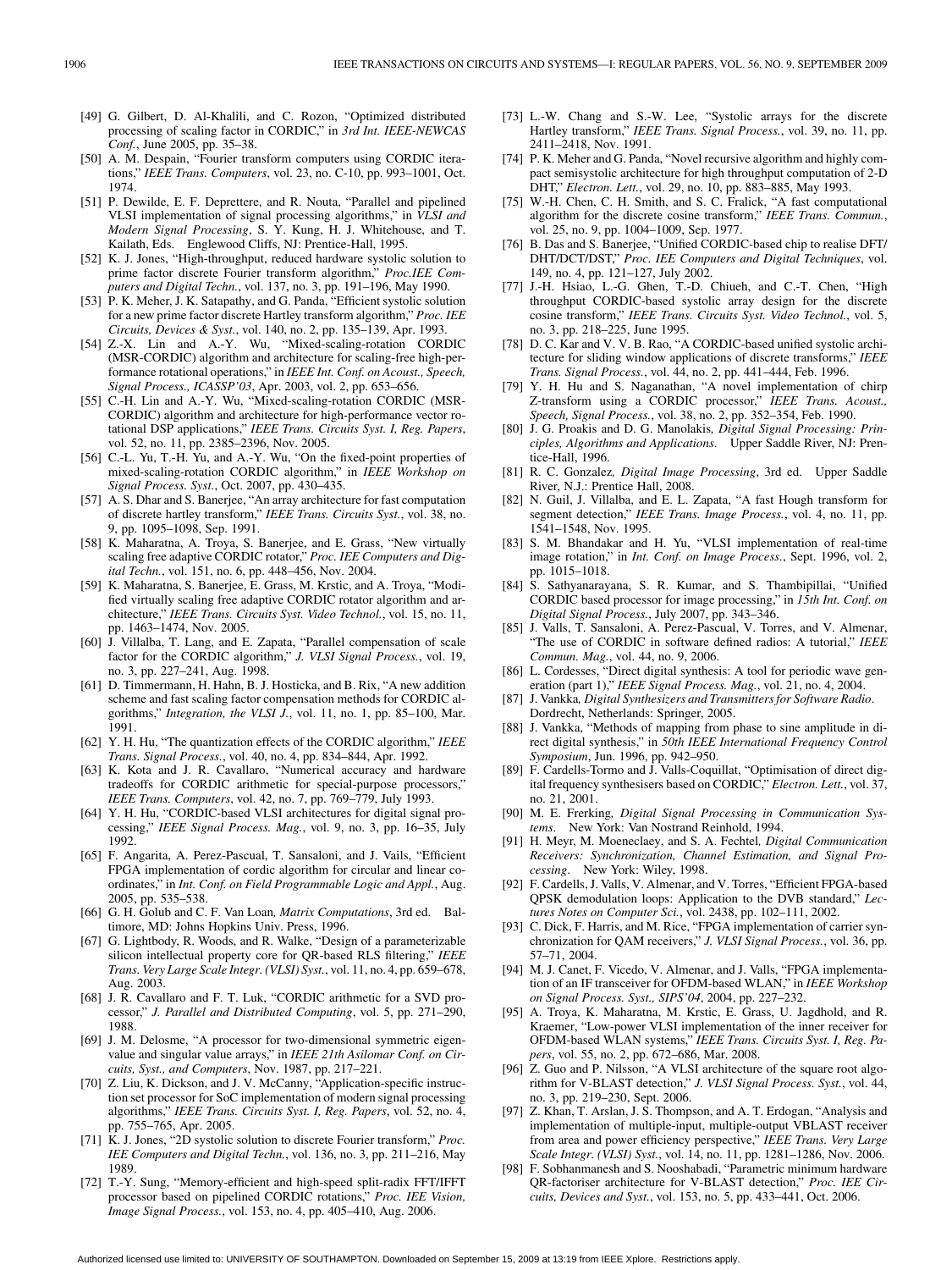- [49] G. Gilbert, D. Al-Khalili, and C. Rozon, "Optimized distributed processing of scaling factor in CORDIC," in *3rd Int. IEEE-NEWCAS Conf.*, June 2005, pp. 35–38.
- [50] A. M. Despain, "Fourier transform computers using CORDIC iterations," *IEEE Trans. Computers*, vol. 23, no. C-10, pp. 993–1001, Oct. 1974.
- [51] P. Dewilde, E. F. Deprettere, and R. Nouta, "Parallel and pipelined VLSI implementation of signal processing algorithms," in *VLSI and Modern Signal Processing*, S. Y. Kung, H. J. Whitehouse, and T. Kailath, Eds. Englewood Cliffs, NJ: Prentice-Hall, 1995.
- [52] K. J. Jones, "High-throughput, reduced hardware systolic solution to prime factor discrete Fourier transform algorithm," *Proc.IEE Computers and Digital Techn.*, vol. 137, no. 3, pp. 191–196, May 1990.
- [53] P. K. Meher, J. K. Satapathy, and G. Panda, "Efficient systolic solution for a new prime factor discrete Hartley transform algorithm," *Proc. IEE Circuits, Devices & Syst.*, vol. 140, no. 2, pp. 135–139, Apr. 1993.
- [54] Z.-X. Lin and A.-Y. Wu, "Mixed-scaling-rotation CORDIC (MSR-CORDIC) algorithm and architecture for scaling-free high-performance rotational operations," in *IEEE Int. Conf. on Acoust., Speech, Signal Process., ICASSP'03*, Apr. 2003, vol. 2, pp. 653–656.
- [55] C.-H. Lin and A.-Y. Wu, "Mixed-scaling-rotation CORDIC (MSR-CORDIC) algorithm and architecture for high-performance vector rotational DSP applications," *IEEE Trans. Circuits Syst. I, Reg. Papers*, vol. 52, no. 11, pp. 2385–2396, Nov. 2005.
- [56] C.-L. Yu, T.-H. Yu, and A.-Y. Wu, "On the fixed-point properties of mixed-scaling-rotation CORDIC algorithm," in *IEEE Workshop on Signal Process. Syst.*, Oct. 2007, pp. 430–435.
- [57] A. S. Dhar and S. Banerjee, "An array architecture for fast computation of discrete hartley transform," *IEEE Trans. Circuits Syst.*, vol. 38, no. 9, pp. 1095–1098, Sep. 1991.
- [58] K. Maharatna, A. Troya, S. Banerjee, and E. Grass, "New virtually scaling free adaptive CORDIC rotator," *Proc. IEE Computers and Digital Techn.*, vol. 151, no. 6, pp. 448–456, Nov. 2004.
- [59] K. Maharatna, S. Banerjee, E. Grass, M. Krstic, and A. Troya, "Modified virtually scaling free adaptive CORDIC rotator algorithm and architecture," *IEEE Trans. Circuits Syst. Video Technol.*, vol. 15, no. 11, pp. 1463–1474, Nov. 2005.
- [60] J. Villalba, T. Lang, and E. Zapata, "Parallel compensation of scale factor for the CORDIC algorithm," *J. VLSI Signal Process.*, vol. 19, no. 3, pp. 227–241, Aug. 1998.
- [61] D. Timmermann, H. Hahn, B. J. Hosticka, and B. Rix, "A new addition scheme and fast scaling factor compensation methods for CORDIC algorithms," *Integration, the VLSI J.*, vol. 11, no. 1, pp. 85–100, Mar. 1991.
- [62] Y. H. Hu, "The quantization effects of the CORDIC algorithm," *IEEE Trans. Signal Process.*, vol. 40, no. 4, pp. 834–844, Apr. 1992.
- [63] K. Kota and J. R. Cavallaro, "Numerical accuracy and hardware tradeoffs for CORDIC arithmetic for special-purpose processors," *IEEE Trans. Computers*, vol. 42, no. 7, pp. 769–779, July 1993.
- [64] Y. H. Hu, "CORDIC-based VLSI architectures for digital signal processing," *IEEE Signal Process. Mag.*, vol. 9, no. 3, pp. 16–35, July 1992.
- [65] F. Angarita, A. Perez-Pascual, T. Sansaloni, and J. Vails, "Efficient FPGA implementation of cordic algorithm for circular and linear coordinates," in *Int. Conf. on Field Programmable Logic and Appl.*, Aug. 2005, pp. 535–538.
- [66] G. H. Golub and C. F. Van Loan*, Matrix Computations*, 3rd ed. Baltimore, MD: Johns Hopkins Univ. Press, 1996.
- [67] G. Lightbody, R. Woods, and R. Walke, "Design of a parameterizable silicon intellectual property core for QR-based RLS filtering," *IEEE Trans. Very Large Scale Integr. (VLSI) Syst.*, vol. 11, no. 4, pp. 659–678, Aug. 2003.
- [68] J. R. Cavallaro and F. T. Luk, "CORDIC arithmetic for a SVD processor," *J. Parallel and Distributed Computing*, vol. 5, pp. 271–290, 1988.
- [69] J. M. Delosme, "A processor for two-dimensional symmetric eigenvalue and singular value arrays," in *IEEE 21th Asilomar Conf. on Circuits, Syst., and Computers*, Nov. 1987, pp. 217–221.
- [70] Z. Liu, K. Dickson, and J. V. McCanny, "Application-specific instruction set processor for SoC implementation of modern signal processing algorithms," *IEEE Trans. Circuits Syst. I, Reg. Papers*, vol. 52, no. 4, pp. 755–765, Apr. 2005.
- [71] K. J. Jones, "2D systolic solution to discrete Fourier transform," *Proc. IEE Computers and Digital Techn.*, vol. 136, no. 3, pp. 211–216, May 1989.
- [72] T.-Y. Sung, "Memory-efficient and high-speed split-radix FFT/IFFT processor based on pipelined CORDIC rotations," *Proc. IEE Vision, Image Signal Process.*, vol. 153, no. 4, pp. 405–410, Aug. 2006.
- [73] L.-W. Chang and S.-W. Lee, "Systolic arrays for the discrete Hartley transform," *IEEE Trans. Signal Process.*, vol. 39, no. 11, pp. 2411–2418, Nov. 1991.
- [74] P. K. Meher and G. Panda, "Novel recursive algorithm and highly compact semisystolic architecture for high throughput computation of 2-D DHT," *Electron. Lett.*, vol. 29, no. 10, pp. 883–885, May 1993.
- [75] W.-H. Chen, C. H. Smith, and S. C. Fralick, "A fast computational algorithm for the discrete cosine transform," *IEEE Trans. Commun.*, vol. 25, no. 9, pp. 1004–1009, Sep. 1977.
- [76] B. Das and S. Banerjee, "Unified CORDIC-based chip to realise DFT/ DHT/DCT/DST," *Proc. IEE Computers and Digital Techniques*, vol. 149, no. 4, pp. 121–127, July 2002.
- [77] J.-H. Hsiao, L.-G. Ghen, T.-D. Chiueh, and C.-T. Chen, "High throughput CORDIC-based systolic array design for the discrete cosine transform," *IEEE Trans. Circuits Syst. Video Technol.*, vol. 5, no. 3, pp. 218–225, June 1995.
- [78] D. C. Kar and V. V. B. Rao, "A CORDIC-based unified systolic architecture for sliding window applications of discrete transforms," *IEEE Trans. Signal Process.*, vol. 44, no. 2, pp. 441–444, Feb. 1996.
- [79] Y. H. Hu and S. Naganathan, "A novel implementation of chirp Z-transform using a CORDIC processor," *IEEE Trans. Acoust., Speech, Signal Process.*, vol. 38, no. 2, pp. 352–354, Feb. 1990.
- [80] J. G. Proakis and D. G. Manolakis*, Digital Signal Processing: Principles, Algorithms and Applications*. Upper Saddle River, NJ: Prentice-Hall, 1996.
- [81] R. C. Gonzalez*, Digital Image Processing*, 3rd ed. Upper Saddle River, N.J.: Prentice Hall, 2008.
- [82] N. Guil, J. Villalba, and E. L. Zapata, "A fast Hough transform for segment detection," *IEEE Trans. Image Process.*, vol. 4, no. 11, pp. 1541–1548, Nov. 1995.
- [83] S. M. Bhandakar and H. Yu, "VLSI implementation of real-time image rotation," in *Int. Conf. on Image Process.*, Sept. 1996, vol. 2, pp. 1015–1018.
- [84] S. Sathyanarayana, S. R. Kumar, and S. Thambipillai, "Unified CORDIC based processor for image processing," in *15th Int. Conf. on Digital Signal Process.*, July 2007, pp. 343–346.
- [85] J. Valls, T. Sansaloni, A. Perez-Pascual, V. Torres, and V. Almenar, "The use of CORDIC in software defined radios: A tutorial," *IEEE Commun. Mag.*, vol. 44, no. 9, 2006.
- [86] L. Cordesses, "Direct digital synthesis: A tool for periodic wave generation (part 1)," *IEEE Signal Process. Mag.*, vol. 21, no. 4, 2004.
- [87] J. Vankka*, Digital Synthesizers and Transmitters for Software Radio*. Dordrecht, Netherlands: Springer, 2005.
- [88] J. Vankka, "Methods of mapping from phase to sine amplitude in direct digital synthesis," in *50th IEEE International Frequency Control Symposium*, Jun. 1996, pp. 942–950.
- [89] F. Cardells-Tormo and J. Valls-Coquillat, "Optimisation of direct digital frequency synthesisers based on CORDIC," *Electron. Lett.*, vol. 37, no. 21, 2001.
- [90] M. E. Frerking*, Digital Signal Processing in Communication Systems*. New York: Van Nostrand Reinhold, 1994.
- [91] H. Meyr, M. Moeneclaey, and S. A. Fechtel*, Digital Communication Receivers: Synchronization, Channel Estimation, and Signal Processing*. New York: Wiley, 1998.
- [92] F. Cardells, J. Valls, V. Almenar, and V. Torres, "Efficient FPGA-based QPSK demodulation loops: Application to the DVB standard," *Lectures Notes on Computer Sci.*, vol. 2438, pp. 102–111, 2002.
- [93] C. Dick, F. Harris, and M. Rice, "FPGA implementation of carrier synchronization for QAM receivers," *J. VLSI Signal Process.*, vol. 36, pp. 57–71, 2004.
- [94] M. J. Canet, F. Vicedo, V. Almenar, and J. Valls, "FPGA implementation of an IF transceiver for OFDM-based WLAN," in *IEEE Workshop on Signal Process. Syst., SIPS'04*, 2004, pp. 227–232.
- [95] A. Troya, K. Maharatna, M. Krstic, E. Grass, U. Jagdhold, and R. Kraemer, "Low-power VLSI implementation of the inner receiver for OFDM-based WLAN systems," *IEEE Trans. Circuits Syst. I, Reg. Papers*, vol. 55, no. 2, pp. 672–686, Mar. 2008.
- [96] Z. Guo and P. Nilsson, "A VLSI architecture of the square root algorithm for V-BLAST detection," *J. VLSI Signal Process. Syst.*, vol. 44, no. 3, pp. 219–230, Sept. 2006.
- [97] Z. Khan, T. Arslan, J. S. Thompson, and A. T. Erdogan, "Analysis and implementation of multiple-input, multiple-output VBLAST receiver from area and power efficiency perspective," *IEEE Trans. Very Large Scale Integr. (VLSI) Syst.*, vol. 14, no. 11, pp. 1281–1286, Nov. 2006.
- [98] F. Sobhanmanesh and S. Nooshabadi, "Parametric minimum hardware QR-factoriser architecture for V-BLAST detection," *Proc. IEE Circuits, Devices and Syst.*, vol. 153, no. 5, pp. 433–441, Oct. 2006.